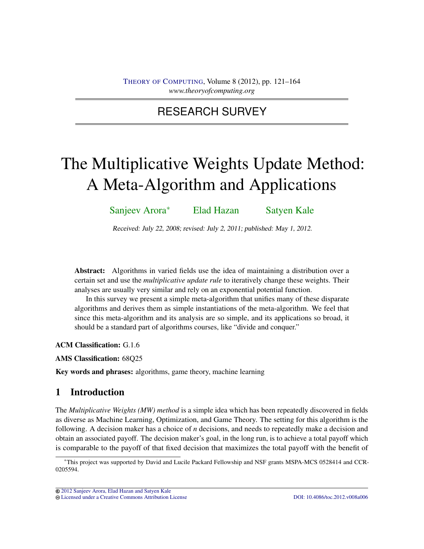## RESEARCH SURVEY

# The Multiplicative Weights Update Method: A Meta-Algorithm and Applications

[Sanjeev Arora](#page-42-0)<sup>∗</sup> [Elad Hazan](#page-42-1) [Satyen Kale](#page-42-2)

Received: July 22, 2008; revised: July 2, 2011; published: May 1, 2012.

Abstract: Algorithms in varied fields use the idea of maintaining a distribution over a certain set and use the *multiplicative update rule* to iteratively change these weights. Their analyses are usually very similar and rely on an exponential potential function.

In this survey we present a simple meta-algorithm that unifies many of these disparate algorithms and derives them as simple instantiations of the meta-algorithm. We feel that since this meta-algorithm and its analysis are so simple, and its applications so broad, it should be a standard part of algorithms courses, like "divide and conquer."

ACM Classification: G.1.6

AMS Classification: 68Q25

Key words and phrases: algorithms, game theory, machine learning

## 1 Introduction

The *Multiplicative Weights (MW) method* is a simple idea which has been repeatedly discovered in fields as diverse as Machine Learning, Optimization, and Game Theory. The setting for this algorithm is the following. A decision maker has a choice of *n* decisions, and needs to repeatedly make a decision and obtain an associated payoff. The decision maker's goal, in the long run, is to achieve a total payoff which is comparable to the payoff of that fixed decision that maximizes the total payoff with the benefit of

[2012 Sanjeev Arora, Elad Hazan and Satyen Kale](http://theoryofcomputing.org/copyright2009.html) [Licensed under a Creative Commons Attribution License](http://creativecommons.org/licenses/by/3.0/) [DOI: 10.4086/toc.2012.v008a006](http://dx.doi.org/10.4086/toc.2012.v008a006)

<sup>∗</sup>This project was supported by David and Lucile Packard Fellowship and NSF grants MSPA-MCS 0528414 and CCR-0205594.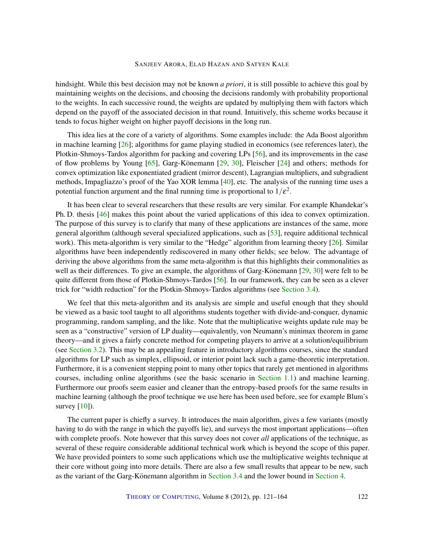<span id="page-1-0"></span>hindsight. While this best decision may not be known *a priori*, it is still possible to achieve this goal by maintaining weights on the decisions, and choosing the decisions randomly with probability proportional to the weights. In each successive round, the weights are updated by multiplying them with factors which depend on the payoff of the associated decision in that round. Intuitively, this scheme works because it tends to focus higher weight on higher payoff decisions in the long run.

This idea lies at the core of a variety of algorithms. Some examples include: the Ada Boost algorithm in machine learning [\[26\]](#page-39-0); algorithms for game playing studied in economics (see references later), the Plotkin-Shmoys-Tardos algorithm for packing and covering LPs [\[56\]](#page-41-0), and its improvements in the case of flow problems by Young  $[65]$ , Garg-Könemann  $[29, 30]$  $[29, 30]$  $[29, 30]$  $[29, 30]$ , Fleischer  $[24]$  and others; methods for convex optimization like exponentiated gradient (mirror descent), Lagrangian multipliers, and subgradient methods, Impagliazzo's proof of the Yao XOR lemma [\[40\]](#page-40-0), etc. The analysis of the running time uses a potential function argument and the final running time is proportional to  $1/\varepsilon^2$ .

It has been clear to several researchers that these results are very similar. For example Khandekar's Ph. D. thesis [\[46\]](#page-40-1) makes this point about the varied applications of this idea to convex optimization. The purpose of this survey is to clarify that many of these applications are instances of the same, more general algorithm (although several specialized applications, such as [\[53\]](#page-41-1), require additional technical work). This meta-algorithm is very similar to the "Hedge" algorithm from learning theory [\[26\]](#page-39-0). Similar algorithms have been independently rediscovered in many other fields; see below. The advantage of deriving the above algorithms from the same meta-algorithm is that this highlights their commonalities as well as their differences. To give an example, the algorithms of Garg-Könemann [[29,](#page-39-1) [30\]](#page-39-2) were felt to be quite different from those of Plotkin-Shmoys-Tardos [\[56\]](#page-41-0). In our framework, they can be seen as a clever trick for "width reduction" for the Plotkin-Shmoys-Tardos algorithms (see [Section](#page-18-0) [3.4\)](#page-18-0).

We feel that this meta-algorithm and its analysis are simple and useful enough that they should be viewed as a basic tool taught to all algorithms students together with divide-and-conquer, dynamic programming, random sampling, and the like. Note that the multiplicative weights update rule may be seen as a "constructive" version of LP duality—equivalently, von Neumann's minimax theorem in game theory—and it gives a fairly concrete method for competing players to arrive at a solution/equilibrium (see [Section](#page-12-0) [3.2\)](#page-12-0). This may be an appealing feature in introductory algorithms courses, since the standard algorithms for LP such as simplex, ellipsoid, or interior point lack such a game-theoretic interpretation. Furthermore, it is a convenient stepping point to many other topics that rarely get mentioned in algorithms courses, including online algorithms (see the basic scenario in [Section](#page-3-0) [1.1\)](#page-3-0) and machine learning. Furthermore our proofs seem easier and cleaner than the entropy-based proofs for the same results in machine learning (although the proof technique we use here has been used before, see for example Blum's survey [\[10\]](#page-38-0)).

The current paper is chiefly a survey. It introduces the main algorithm, gives a few variants (mostly having to do with the range in which the payoffs lie), and surveys the most important applications—often with complete proofs. Note however that this survey does not cover *all* applications of the technique, as several of these require considerable additional technical work which is beyond the scope of this paper. We have provided pointers to some such applications which use the multiplicative weights technique at their core without going into more details. There are also a few small results that appear to be new, such as the variant of the Garg-Könemann algorithm in [Section](#page-32-0) [3.4](#page-18-0) and the lower bound in Section [4.](#page-32-0)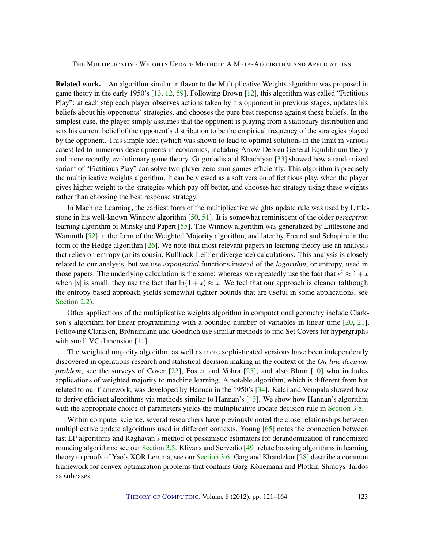<span id="page-2-0"></span>Related work. An algorithm similar in flavor to the Multiplicative Weights algorithm was proposed in game theory in the early 1950's [\[13,](#page-38-1) [12,](#page-38-2) [59\]](#page-41-2). Following Brown [\[12\]](#page-38-2), this algorithm was called "Fictitious Play": at each step each player observes actions taken by his opponent in previous stages, updates his beliefs about his opponents' strategies, and chooses the pure best response against these beliefs. In the simplest case, the player simply assumes that the opponent is playing from a stationary distribution and sets his current belief of the opponent's distribution to be the empirical frequency of the strategies played by the opponent. This simple idea (which was shown to lead to optimal solutions in the limit in various cases) led to numerous developments in economics, including Arrow-Debreu General Equilibrium theory and more recently, evolutionary game theory. Grigoriadis and Khachiyan [\[33\]](#page-39-4) showed how a randomized variant of "Fictitious Play" can solve two player zero-sum games efficiently. This algorithm is precisely the multiplicative weights algorithm. It can be viewed as a soft version of fictitious play, when the player gives higher weight to the strategies which pay off better, and chooses her strategy using these weights rather than choosing the best response strategy.

In Machine Learning, the earliest form of the multiplicative weights update rule was used by Littlestone in his well-known Winnow algorithm [\[50,](#page-40-2) [51\]](#page-41-3). It is somewhat reminiscent of the older *perceptron* learning algorithm of Minsky and Papert [\[55\]](#page-41-4). The Winnow algorithm was generalized by Littlestone and Warmuth [\[52\]](#page-41-5) in the form of the Weighted Majority algorithm, and later by Freund and Schapire in the form of the Hedge algorithm [\[26\]](#page-39-0). We note that most relevant papers in learning theory use an analysis that relies on entropy (or its cousin, Kullback-Leibler divergence) calculations. This analysis is closely related to our analysis, but we use *exponential* functions instead of the *logarithm*, or entropy, used in those papers. The underlying calculation is the same: whereas we repeatedly use the fact that  $e^x \approx 1 + x$ when |*x*| is small, they use the fact that  $ln(1+x) \approx x$ . We feel that our approach is cleaner (although the entropy based approach yields somewhat tighter bounds that are useful in some applications, see [Section](#page-8-0) [2.2\)](#page-8-0).

Other applications of the multiplicative weights algorithm in computational geometry include Clarkson's algorithm for linear programming with a bounded number of variables in linear time [\[20,](#page-38-3) [21\]](#page-38-4). Following Clarkson, Brönnimann and Goodrich use similar methods to find Set Covers for hypergraphs with small VC dimension [\[11\]](#page-38-5).

The weighted majority algorithm as well as more sophisticated versions have been independently discovered in operations research and statistical decision making in the context of the *On-line decision problem*; see the surveys of Cover [\[22\]](#page-38-6), Foster and Vohra [\[25\]](#page-39-5), and also Blum [\[10\]](#page-38-0) who includes applications of weighted majority to machine learning. A notable algorithm, which is different from but related to our framework, was developed by Hannan in the 1950's [\[34\]](#page-39-6). Kalai and Vempala showed how to derive efficient algorithms via methods similar to Hannan's [\[43\]](#page-40-3). We show how Hannan's algorithm with the appropriate choice of parameters yields the multiplicative update decision rule in [Section](#page-26-0) [3.8.](#page-26-0)

Within computer science, several researchers have previously noted the close relationships between multiplicative update algorithms used in different contexts. Young [\[65\]](#page-42-3) notes the connection between fast LP algorithms and Raghavan's method of pessimistic estimators for derandomization of randomized rounding algorithms; see our [Section](#page-21-0) [3.5.](#page-21-0) Klivans and Servedio [\[49\]](#page-40-4) relate boosting algorithms in learning theory to proofs of Yao's XOR Lemma; see our [Section](#page-23-0) [3.6.](#page-23-0) Garg and Khandekar [\[28\]](#page-39-7) describe a common framework for convex optimization problems that contains Garg-Könemann and Plotkin-Shmoys-Tardos as subcases.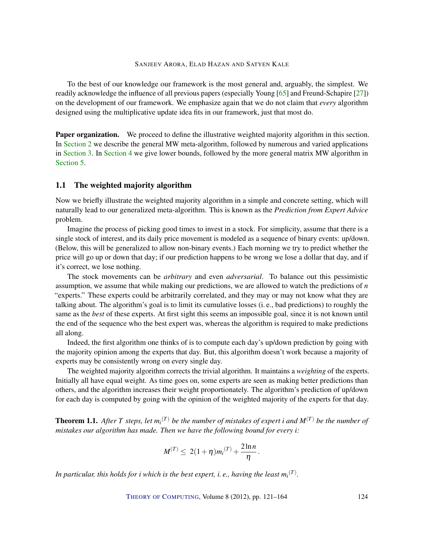<span id="page-3-2"></span>To the best of our knowledge our framework is the most general and, arguably, the simplest. We readily acknowledge the influence of all previous papers (especially Young [\[65\]](#page-42-3) and Freund-Schapire [\[27\]](#page-39-8)) on the development of our framework. We emphasize again that we do not claim that *every* algorithm designed using the multiplicative update idea fits in our framework, just that most do.

Paper organization. We proceed to define the illustrative weighted majority algorithm in this section. In [Section](#page-5-0) [2](#page-5-0) we describe the general MW meta-algorithm, followed by numerous and varied applications in [Section](#page-11-0) [3.](#page-11-0) In [Section](#page-32-0) [4](#page-32-0) we give lower bounds, followed by the more general matrix MW algorithm in [Section](#page-34-0) [5.](#page-34-0)

#### <span id="page-3-0"></span>1.1 The weighted majority algorithm

Now we briefly illustrate the weighted majority algorithm in a simple and concrete setting, which will naturally lead to our generalized meta-algorithm. This is known as the *Prediction from Expert Advice* problem.

Imagine the process of picking good times to invest in a stock. For simplicity, assume that there is a single stock of interest, and its daily price movement is modeled as a sequence of binary events: up/down. (Below, this will be generalized to allow non-binary events.) Each morning we try to predict whether the price will go up or down that day; if our prediction happens to be wrong we lose a dollar that day, and if it's correct, we lose nothing.

The stock movements can be *arbitrary* and even *adversarial*. To balance out this pessimistic assumption, we assume that while making our predictions, we are allowed to watch the predictions of *n* "experts." These experts could be arbitrarily correlated, and they may or may not know what they are talking about. The algorithm's goal is to limit its cumulative losses (i. e., bad predictions) to roughly the same as the *best* of these experts. At first sight this seems an impossible goal, since it is not known until the end of the sequence who the best expert was, whereas the algorithm is required to make predictions all along.

Indeed, the first algorithm one thinks of is to compute each day's up/down prediction by going with the majority opinion among the experts that day. But, this algorithm doesn't work because a majority of experts may be consistently wrong on every single day.

The weighted majority algorithm corrects the trivial algorithm. It maintains a *weighting* of the experts. Initially all have equal weight. As time goes on, some experts are seen as making better predictions than others, and the algorithm increases their weight proportionately. The algorithm's prediction of up/down for each day is computed by going with the opinion of the weighted majority of the experts for that day.

<span id="page-3-1"></span>**Theorem 1.1.** After T steps, let  $m_i^{(T)}$  be the number of mistakes of expert i and  $M^{(T)}$  be the number of *mistakes our algorithm has made. Then we have the following bound for every i:*

$$
M^{(T)} \leq 2(1+\eta)m_i^{(T)} + \frac{2\ln n}{\eta}.
$$

In particular, this holds for i which is the best expert, i. e., having the least  $m_i^{(T)}$ .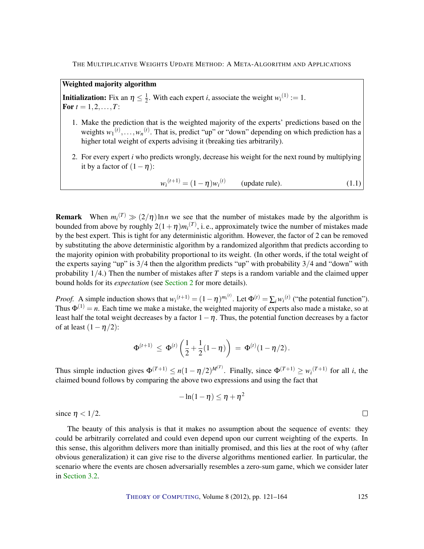## Weighted majority algorithm

**Initialization:** Fix an  $\eta \leq \frac{1}{2}$  $\frac{1}{2}$ . With each expert *i*, associate the weight  $w_i^{(1)} := 1$ . For  $t = 1, 2, ..., T$ :

- 1. Make the prediction that is the weighted majority of the experts' predictions based on the weights  $w_1^{(t)}, \ldots, w_n^{(t)}$ . That is, predict "up" or "down" depending on which prediction has a higher total weight of experts advising it (breaking ties arbitrarily).
- 2. For every expert *i* who predicts wrongly, decrease his weight for the next round by multiplying it by a factor of  $(1 - \eta)$ :

$$
w_i^{(t+1)} = (1 - \eta)w_i^{(t)} \qquad \text{(update rule)}.
$$
 (1.1)

**Remark** When  $m_i^{(T)} \gg (2/\eta) \ln n$  we see that the number of mistakes made by the algorithm is bounded from above by roughly  $2(1+\eta)m_i^{(T)}$ , i.e., approximately twice the number of mistakes made by the best expert. This is tight for any deterministic algorithm. However, the factor of 2 can be removed by substituting the above deterministic algorithm by a randomized algorithm that predicts according to the majority opinion with probability proportional to its weight. (In other words, if the total weight of the experts saying "up" is  $3/4$  then the algorithm predicts "up" with probability  $3/4$  and "down" with probability 1/4.) Then the number of mistakes after *T* steps is a random variable and the claimed upper bound holds for its *expectation* (see [Section](#page-5-0) [2](#page-5-0) for more details).

*Proof.* A simple induction shows that  $w_i^{(t+1)} = (1 - \eta)^{m_i^{(t)}}$ . Let  $\Phi^{(t)} = \sum_i w_i^{(t)}$  ("the potential function"). Thus  $\Phi^{(1)} = n$ . Each time we make a mistake, the weighted majority of experts also made a mistake, so at least half the total weight decreases by a factor  $1-\eta$ . Thus, the potential function decreases by a factor of at least  $(1 - \eta/2)$ :

$$
\Phi^{(t+1)} \, \leq \, \Phi^{(t)}\left(\frac{1}{2} + \frac{1}{2}(1-\eta)\right) \, = \, \Phi^{(t)}(1-\eta/2) \, .
$$

Thus simple induction gives  $\Phi^{(T+1)} \le n(1 - \eta/2)^{M^{(T)}}$ . Finally, since  $\Phi^{(T+1)} \ge w_i^{(T+1)}$  for all *i*, the claimed bound follows by comparing the above two expressions and using the fact that

$$
-\ln(1-\eta) \leq \eta + \eta^2
$$

since  $\eta$  < 1/2.

The beauty of this analysis is that it makes no assumption about the sequence of events: they could be arbitrarily correlated and could even depend upon our current weighting of the experts. In this sense, this algorithm delivers more than initially promised, and this lies at the root of why (after obvious generalization) it can give rise to the diverse algorithms mentioned earlier. In particular, the scenario where the events are chosen adversarially resembles a zero-sum game, which we consider later in [Section](#page-12-0) [3.2.](#page-12-0)

THEORY OF C[OMPUTING](http://dx.doi.org/10.4086/toc), Volume 8 (2012), pp. 121–164 125

 $\Box$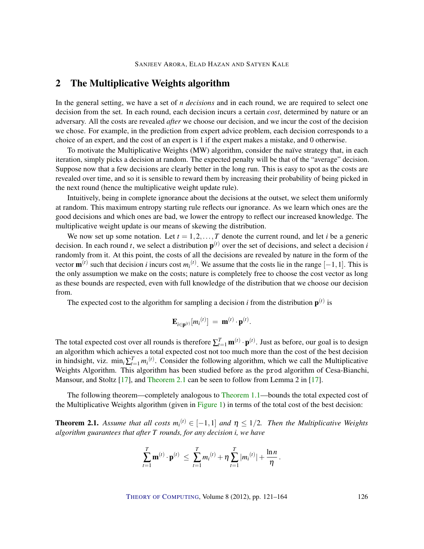## <span id="page-5-2"></span><span id="page-5-0"></span>2 The Multiplicative Weights algorithm

In the general setting, we have a set of *n decisions* and in each round, we are required to select one decision from the set. In each round, each decision incurs a certain *cost*, determined by nature or an adversary. All the costs are revealed *after* we choose our decision, and we incur the cost of the decision we chose. For example, in the prediction from expert advice problem, each decision corresponds to a choice of an expert, and the cost of an expert is 1 if the expert makes a mistake, and 0 otherwise.

To motivate the Multiplicative Weights (MW) algorithm, consider the naïve strategy that, in each iteration, simply picks a decision at random. The expected penalty will be that of the "average" decision. Suppose now that a few decisions are clearly better in the long run. This is easy to spot as the costs are revealed over time, and so it is sensible to reward them by increasing their probability of being picked in the next round (hence the multiplicative weight update rule).

Intuitively, being in complete ignorance about the decisions at the outset, we select them uniformly at random. This maximum entropy starting rule reflects our ignorance. As we learn which ones are the good decisions and which ones are bad, we lower the entropy to reflect our increased knowledge. The multiplicative weight update is our means of skewing the distribution.

We now set up some notation. Let  $t = 1, 2, \ldots, T$  denote the current round, and let *i* be a generic decision. In each round *t*, we select a distribution  $p<sup>(t)</sup>$  over the set of decisions, and select a decision *i* randomly from it. At this point, the costs of all the decisions are revealed by nature in the form of the vector  $\mathbf{m}^{(t)}$  such that decision *i* incurs cost  $m_i^{(t)}$ . We assume that the costs lie in the range  $[-1, 1]$ . This is the only assumption we make on the costs; nature is completely free to choose the cost vector as long as these bounds are respected, even with full knowledge of the distribution that we choose our decision from.

The expected cost to the algorithm for sampling a decision  $i$  from the distribution  $p^{(t)}$  is

$$
\mathbf{E}_{i\in\mathbf{p}^{(t)}}[m_i^{(t)}] = \mathbf{m}^{(t)}\cdot\mathbf{p}^{(t)}.
$$

The total expected cost over all rounds is therefore  $\sum_{t=1}^{T} \mathbf{m}^{(t)} \cdot \mathbf{p}^{(t)}$ . Just as before, our goal is to design an algorithm which achieves a total expected cost not too much more than the cost of the best decision in hindsight, viz.  $\min_i \sum_{t=1}^T m_i^{(t)}$ . Consider the following algorithm, which we call the Multiplicative Weights Algorithm. This algorithm has been studied before as the prod algorithm of Cesa-Bianchi, Mansour, and Stoltz [\[17\]](#page-38-7), and [Theorem](#page-5-1) [2.1](#page-5-1) can be seen to follow from Lemma 2 in [\[17\]](#page-38-7).

The following theorem—completely analogous to [Theorem](#page-3-1) [1.1—](#page-3-1)bounds the total expected cost of the Multiplicative Weights algorithm (given in [Figure](#page-6-0) [1\)](#page-6-0) in terms of the total cost of the best decision:

<span id="page-5-1"></span>**Theorem 2.1.** Assume that all costs  $m_i^{(t)} \in [-1,1]$  and  $\eta \leq 1/2$ . Then the Multiplicative Weights *algorithm guarantees that after T rounds, for any decision i, we have*

$$
\sum_{t=1}^T \mathbf{m}^{(t)} \cdot \mathbf{p}^{(t)} \ \leq \ \sum_{t=1}^T m_i^{(t)} + \eta \sum_{t=1}^T |m_i^{(t)}| + \frac{\ln n}{\eta}.
$$

THEORY OF C[OMPUTING](http://dx.doi.org/10.4086/toc), Volume 8 (2012), pp. 121–164 126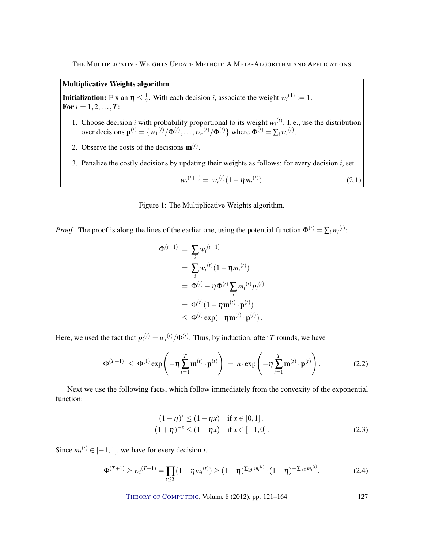### Multiplicative Weights algorithm

**Initialization:** Fix an  $\eta \leq \frac{1}{2}$  $\frac{1}{2}$ . With each decision *i*, associate the weight  $w_i^{(1)} := 1$ . For  $t = 1, 2, ..., T$ :

- 1. Choose decision *i* with probability proportional to its weight  $w_i^{(t)}$ . I.e., use the distribution over decisions  $\mathbf{p}^{(t)} = \{w_1^{(t)}/\Phi^{(t)}, \dots, w_n^{(t)}/\Phi^{(t)}\}$  where  $\Phi^{(t)} = \sum_i w_i^{(t)}$ .
- 2. Observe the costs of the decisions  $\mathbf{m}^{(t)}$ .
- 3. Penalize the costly decisions by updating their weights as follows: for every decision *i*, set

<span id="page-6-0"></span>
$$
w_i^{(t+1)} = w_i^{(t)} (1 - \eta m_i^{(t)}) \tag{2.1}
$$

Figure 1: The Multiplicative Weights algorithm.

*Proof.* The proof is along the lines of the earlier one, using the potential function  $\Phi^{(t)} = \sum_i w_i^{(t)}$ :

$$
\Phi^{(t+1)} = \sum_{i} w_i^{(t+1)} \n= \sum_{i} w_i^{(t)} (1 - \eta m_i^{(t)}) \n= \Phi^{(t)} - \eta \Phi^{(t)} \sum_{i} m_i^{(t)} p_i^{(t)} \n= \Phi^{(t)} (1 - \eta \mathbf{m}^{(t)} \cdot \mathbf{p}^{(t)}) \n\leq \Phi^{(t)} \exp(-\eta \mathbf{m}^{(t)} \cdot \mathbf{p}^{(t)}).
$$

Here, we used the fact that  $p_i^{(t)} = w_i^{(t)}/\Phi^{(t)}$ . Thus, by induction, after *T* rounds, we have

<span id="page-6-1"></span>
$$
\Phi^{(T+1)} \leq \Phi^{(1)} \exp\left(-\eta \sum_{t=1}^T \mathbf{m}^{(t)} \cdot \mathbf{p}^{(t)}\right) = n \cdot \exp\left(-\eta \sum_{t=1}^T \mathbf{m}^{(t)} \cdot \mathbf{p}^{(t)}\right).
$$
 (2.2)

Next we use the following facts, which follow immediately from the convexity of the exponential function:

<span id="page-6-3"></span>
$$
(1 - \eta)^{x} \le (1 - \eta x) \quad \text{if } x \in [0, 1],
$$
  

$$
(1 + \eta)^{-x} \le (1 - \eta x) \quad \text{if } x \in [-1, 0].
$$
 (2.3)

Since  $m_i^{(t)} \in [-1,1]$ , we have for every decision *i*,

<span id="page-6-2"></span>
$$
\Phi^{(T+1)} \ge w_i^{(T+1)} = \prod_{t \le T} (1 - \eta m_i^{(t)}) \ge (1 - \eta)^{\sum_{t \ge 0} m_i^{(t)}} \cdot (1 + \eta)^{-\sum_{t \le 0} m_i^{(t)}}, \tag{2.4}
$$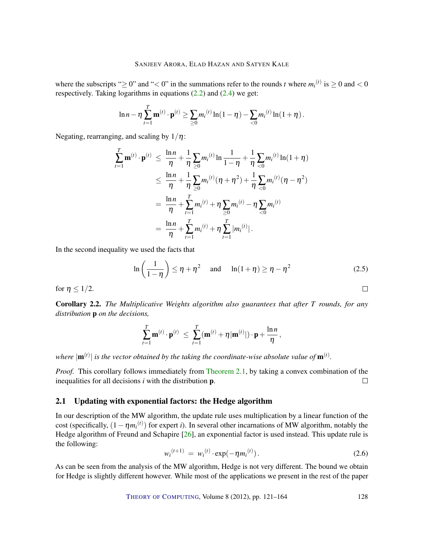<span id="page-7-3"></span>where the subscripts " $\geq$  0" and "< 0" in the summations refer to the rounds *t* where  $m_i^{(t)}$  is  $\geq$  0 and < 0 respectively. Taking logarithms in equations  $(2.2)$  and  $(2.4)$  we get:

$$
\ln n - \eta \sum_{t=1}^T \mathbf{m}^{(t)} \cdot \mathbf{p}^{(t)} \ge \sum_{i \ge 0} m_i^{(t)} \ln(1 - \eta) - \sum_{i \ge 0} m_i^{(t)} \ln(1 + \eta).
$$

Negating, rearranging, and scaling by  $1/\eta$ :

$$
\sum_{t=1}^{T} \mathbf{m}^{(t)} \cdot \mathbf{p}^{(t)} \leq \frac{\ln n}{\eta} + \frac{1}{\eta} \sum_{t=1}^{T} m_i^{(t)} \ln \frac{1}{1-\eta} + \frac{1}{\eta} \sum_{t=1}^{T} m_i^{(t)} \ln(1+\eta)
$$
\n
$$
\leq \frac{\ln n}{\eta} + \frac{1}{\eta} \sum_{t=1}^{T} m_i^{(t)} (\eta + \eta^2) + \frac{1}{\eta} \sum_{t=1}^{T} m_i^{(t)} (\eta - \eta^2)
$$
\n
$$
= \frac{\ln n}{\eta} + \sum_{t=1}^{T} m_i^{(t)} + \eta \sum_{t=1}^{T} m_i^{(t)} - \eta \sum_{t=1}^{T} m_i^{(t)}
$$
\n
$$
= \frac{\ln n}{\eta} + \sum_{t=1}^{T} m_i^{(t)} + \eta \sum_{t=1}^{T} |m_i^{(t)}|.
$$

In the second inequality we used the facts that

<span id="page-7-1"></span>
$$
\ln\left(\frac{1}{1-\eta}\right) \le \eta + \eta^2 \quad \text{and} \quad \ln(1+\eta) \ge \eta - \eta^2 \tag{2.5}
$$

 $\Box$ 

for  $\eta \leq 1/2$ .

<span id="page-7-0"></span>Corollary 2.2. *The Multiplicative Weights algorithm also guarantees that after T rounds, for any distribution* p *on the decisions,*

$$
\sum_{t=1}^T \mathbf{m}^{(t)} \cdot \mathbf{p}^{(t)} \ \leq \ \sum_{t=1}^T (\mathbf{m}^{(t)} + \eta \, |\mathbf{m}^{(t)}|) \cdot \mathbf{p} + \frac{\ln n}{\eta},
$$

where  $|\mathbf{m}^{(t)}|$  is the vector obtained by the taking the coordinate-wise absolute value of  $\mathbf{m}^{(t)}$ .

*Proof.* This corollary follows immediately from [Theorem](#page-5-1) [2.1,](#page-5-1) by taking a convex combination of the inequalities for all decisions *i* with the distribution p.  $\Box$ 

#### <span id="page-7-2"></span>2.1 Updating with exponential factors: the Hedge algorithm

In our description of the MW algorithm, the update rule uses multiplication by a linear function of the cost (specifically,  $(1 - \eta m_i^{(t)})$  for expert *i*). In several other incarnations of MW algorithm, notably the Hedge algorithm of Freund and Schapire [\[26\]](#page-39-0), an exponential factor is used instead. This update rule is the following:

$$
w_i^{(t+1)} = w_i^{(t)} \cdot \exp(-\eta m_i^{(t)}).
$$
 (2.6)

As can be seen from the analysis of the MW algorithm, Hedge is not very different. The bound we obtain for Hedge is slightly different however. While most of the applications we present in the rest of the paper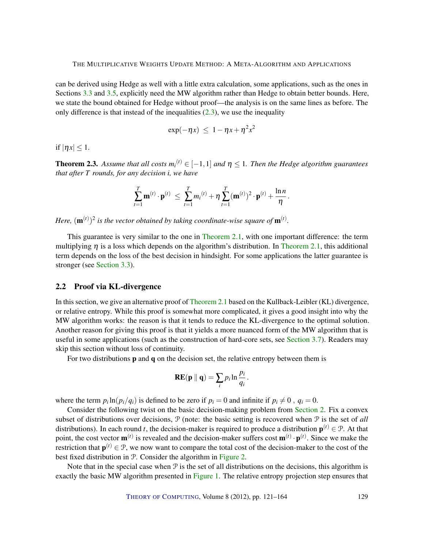can be derived using Hedge as well with a little extra calculation, some applications, such as the ones in Sections [3.3](#page-14-0) and [3.5,](#page-21-0) explicitly need the MW algorithm rather than Hedge to obtain better bounds. Here, we state the bound obtained for Hedge without proof—the analysis is on the same lines as before. The only difference is that instead of the inequalities  $(2.3)$ , we use the inequality

$$
\exp(-\eta x) \leq 1 - \eta x + \eta^2 x^2
$$

if  $|\eta x| \leq 1$ .

<span id="page-8-1"></span>**Theorem 2.3.** Assume that all costs  $m_i^{(t)} \in [-1,1]$  and  $\eta \leq 1$ . Then the Hedge algorithm guarantees *that after T rounds, for any decision i, we have*

$$
\sum_{t=1}^T \mathbf{m}^{(t)} \cdot \mathbf{p}^{(t)} \ \leq \ \sum_{t=1}^T m_i^{(t)} + \eta \sum_{t=1}^T (\mathbf{m}^{(t)})^2 \cdot \mathbf{p}^{(t)} + \frac{\ln n}{\eta}.
$$

*Here,*  $(\mathbf{m}^{(t)})^2$  is the vector obtained by taking coordinate-wise square of  $\mathbf{m}^{(t)}$ .

This guarantee is very similar to the one in [Theorem](#page-5-1) [2.1,](#page-5-1) with one important difference: the term multiplying  $\eta$  is a loss which depends on the algorithm's distribution. In [Theorem](#page-5-1) [2.1,](#page-5-1) this additional term depends on the loss of the best decision in hindsight. For some applications the latter guarantee is stronger (see [Section](#page-14-0) [3.3\)](#page-14-0).

#### <span id="page-8-0"></span>2.2 Proof via KL-divergence

In this section, we give an alternative proof of [Theorem](#page-5-1) [2.1](#page-5-1) based on the Kullback-Leibler (KL) divergence, or relative entropy. While this proof is somewhat more complicated, it gives a good insight into why the MW algorithm works: the reason is that it tends to reduce the KL-divergence to the optimal solution. Another reason for giving this proof is that it yields a more nuanced form of the MW algorithm that is useful in some applications (such as the construction of hard-core sets, see [Section](#page-24-0) [3.7\)](#page-24-0). Readers may skip this section without loss of continuity.

For two distributions  $\bf{p}$  and  $\bf{q}$  on the decision set, the relative entropy between them is

$$
\mathbf{RE}(\mathbf{p} \parallel \mathbf{q}) = \sum_{i} p_i \ln \frac{p_i}{q_i}.
$$

where the term  $p_i \ln(p_i/q_i)$  is defined to be zero if  $p_i = 0$  and infinite if  $p_i \neq 0$ ,  $q_i = 0$ .

Consider the following twist on the basic decision-making problem from [Section](#page-5-0) [2.](#page-5-0) Fix a convex subset of distributions over decisions, P (note: the basic setting is recovered when P is the set of *all* distributions). In each round *t*, the decision-maker is required to produce a distribution  $p^{(t)} \in \mathcal{P}$ . At that point, the cost vector  $\mathbf{m}^{(t)}$  is revealed and the decision-maker suffers cost  $\mathbf{m}^{(t)} \cdot \mathbf{p}^{(t)}$ . Since we make the restriction that  $p^{(t)} \in \mathcal{P}$ , we now want to compare the total cost of the decision-maker to the cost of the best fixed distribution in P. Consider the algorithm in [Figure](#page-9-0) [2.](#page-9-0)

Note that in the special case when  $\mathcal P$  is the set of all distributions on the decisions, this algorithm is exactly the basic MW algorithm presented in [Figure](#page-6-0) [1.](#page-6-0) The relative entropy projection step ensures that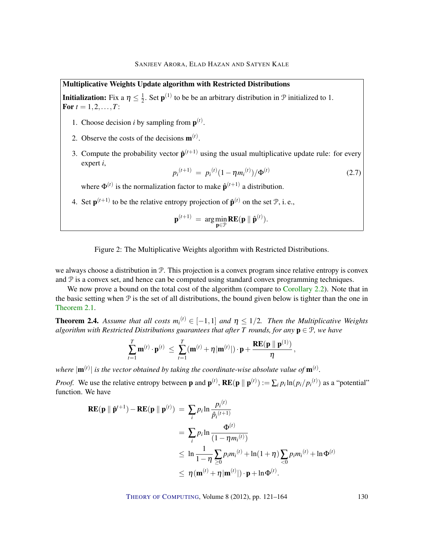#### Multiplicative Weights Update algorithm with Restricted Distributions

**Initialization:** Fix a  $\eta \leq \frac{1}{2}$  $\frac{1}{2}$ . Set **p**<sup>(1)</sup> to be be an arbitrary distribution in  $\mathcal{P}$  initialized to 1. For  $t = 1, 2, ..., T$ :

- 1. Choose decision *i* by sampling from  $p^{(t)}$ .
- 2. Observe the costs of the decisions  $\mathbf{m}^{(t)}$ .
- 3. Compute the probability vector  $\hat{\mathbf{p}}^{(t+1)}$  using the usual multiplicative update rule: for every expert *i*,

$$
p_i^{(t+1)} = p_i^{(t)} (1 - \eta m_i^{(t)}) / \Phi^{(t)}
$$
\n(2.7)

where  $\Phi^{(t)}$  is the normalization factor to make  $\hat{\mathbf{p}}^{(t+1)}$  a distribution.

4. Set  $\mathbf{p}^{(t+1)}$  to be the relative entropy projection of  $\hat{\mathbf{p}}^{(t)}$  on the set  $\mathcal{P}$ , i.e.,

$$
\mathbf{p}^{(t+1)} \ = \ \arg\min_{\mathbf{p}\in\mathcal{P}} \mathbf{RE}(\mathbf{p} \parallel \hat{\mathbf{p}}^{(t)}).
$$

<span id="page-9-0"></span>Figure 2: The Multiplicative Weights algorithm with Restricted Distributions.

we always choose a distribution in P. This projection is a convex program since relative entropy is convex and  $P$  is a convex set, and hence can be computed using standard convex programming techniques.

We now prove a bound on the total cost of the algorithm (compare to [Corollary](#page-7-0) [2.2\)](#page-7-0). Note that in the basic setting when  $P$  is the set of all distributions, the bound given below is tighter than the one in [Theorem](#page-5-1) [2.1.](#page-5-1)

<span id="page-9-1"></span>**Theorem 2.4.** Assume that all costs  $m_i^{(t)} \in [-1,1]$  and  $\eta \leq 1/2$ . Then the Multiplicative Weights *algorithm with Restricted Distributions guarantees that after T rounds, for any*  $p \in \mathcal{P}$ *, we have* 

$$
\sum_{t=1}^T \mathbf{m}^{(t)} \cdot \mathbf{p}^{(t)} \ \leq \ \sum_{t=1}^T (\mathbf{m}^{(t)} + \eta \, |\mathbf{m}^{(t)}|) \cdot \mathbf{p} + \frac{\mathbf{RE}(\mathbf{p} \, \|\, \mathbf{p}^{(1)})}{\eta} \,,
$$

where  $|\mathbf{m}^{(t)}|$  is the vector obtained by taking the coordinate-wise absolute value of  $\mathbf{m}^{(t)}$ .

*Proof.* We use the relative entropy between **p** and  $\mathbf{p}^{(t)}$ ,  $\mathbf{RE}(\mathbf{p} \parallel \mathbf{p}^{(t)}) := \sum_i p_i \ln(p_i / p_i^{(t)})$  as a "potential" function. We have

$$
\begin{split} \mathbf{RE}(\mathbf{p} \parallel \hat{\mathbf{p}}^{t+1}) - \mathbf{RE}(\mathbf{p} \parallel \mathbf{p}^{(t)}) &= \sum_{i} p_i \ln \frac{p_i^{(t)}}{\hat{p}_i^{(t+1)}} \\ &= \sum_{i} p_i \ln \frac{\Phi^{(t)}}{(1 - \eta m_i^{(t)})} \\ &\leq \ln \frac{1}{1 - \eta} \sum_{\geq 0} p_i m_i^{(t)} + \ln(1 + \eta) \sum_{\leq 0} p_i m_i^{(t)} + \ln \Phi^{(t)} \\ &\leq \eta (\mathbf{m}^{(t)} + \eta |\mathbf{m}^{(t)}|) \cdot \mathbf{p} + \ln \Phi^{(t)}. \end{split}
$$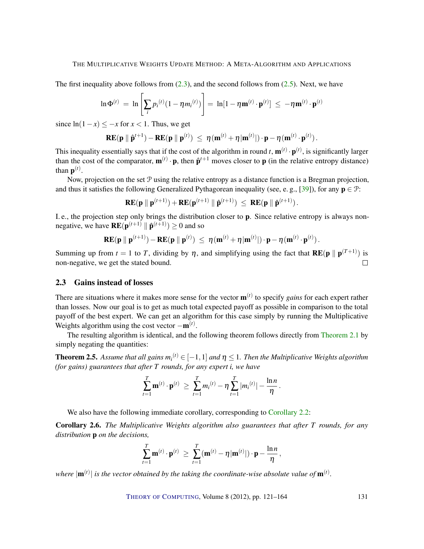<span id="page-10-3"></span>The first inequality above follows from  $(2.3)$ , and the second follows from  $(2.5)$ . Next, we have

$$
\ln \Phi^{(t)} \ = \ \ln \left[ \sum_i p_i^{(t)} (1 - \eta m_i^{(t)}) \right] = \ \ln[1 - \eta \mathbf{m}^{(t)} \cdot \mathbf{p}^{(t)}] \ \leq \ -\eta \mathbf{m}^{(t)} \cdot \mathbf{p}^{(t)}
$$

since  $\ln(1-x) \leq -x$  for  $x \leq 1$ . Thus, we get

$$
\mathbf{RE}(\mathbf{p} \parallel \hat{\mathbf{p}}^{t+1}) - \mathbf{RE}(\mathbf{p} \parallel \mathbf{p}^{(t)}) \leq \eta(\mathbf{m}^{(t)} + \eta \vert \mathbf{m}^{(t)} \vert) \cdot \mathbf{p} - \eta(\mathbf{m}^{(t)} \cdot \mathbf{p}^{(t)})
$$

This inequality essentially says that if the cost of the algorithm in round *t*,  $\mathbf{m}^{(t)} \cdot \mathbf{p}^{(t)}$ , is significantly larger than the cost of the comparator,  $\mathbf{m}^{(t)} \cdot \mathbf{p}$ , then  $\hat{\mathbf{p}}^{t+1}$  moves closer to  $\mathbf{p}$  (in the relative entropy distance) than  $\mathbf{p}^{(t)}$ .

Now, projection on the set P using the relative entropy as a distance function is a Bregman projection, and thus it satisfies the following Generalized Pythagorean inequality (see, e.g., [\[39\]](#page-40-5)), for any  $p \in \mathcal{P}$ :

$$
\mathbf{RE}(\mathbf{p} \parallel \mathbf{p}^{(t+1)}) + \mathbf{RE}(\mathbf{p}^{(t+1)} \parallel \hat{\mathbf{p}}^{(t+1)}) \leq \mathbf{RE}(\mathbf{p} \parallel \hat{\mathbf{p}}^{(t+1)})
$$

I. e., the projection step only brings the distribution closer to p. Since relative entropy is always nonnegative, we have  $\mathbf{RE}(\mathbf{p}^{(t+1)} \parallel \hat{\mathbf{p}}^{(t+1)}) \ge 0$  and so

$$
\mathbf{RE}(\mathbf{p} \parallel \mathbf{p}^{(t+1)}) - \mathbf{RE}(\mathbf{p} \parallel \mathbf{p}^{(t)}) \leq \eta(\mathbf{m}^{(t)} + \eta \vert \mathbf{m}^{(t)} \vert) \cdot \mathbf{p} - \eta(\mathbf{m}^{(t)} \cdot \mathbf{p}^{(t)})
$$

Summing up from  $t = 1$  to *T*, dividing by  $\eta$ , and simplifying using the fact that  $\mathbf{RE}(p \parallel p^{(T+1)})$  is non-negative, we get the stated bound.  $\Box$ 

#### <span id="page-10-0"></span>2.3 Gains instead of losses

There are situations where it makes more sense for the vector  $\mathbf{m}^{(t)}$  to specify *gains* for each expert rather than losses. Now our goal is to get as much total expected payoff as possible in comparison to the total payoff of the best expert. We can get an algorithm for this case simply by running the Multiplicative Weights algorithm using the cost vector  $-\mathbf{m}^{(t)}$ .

The resulting algorithm is identical, and the following theorem follows directly from [Theorem](#page-5-1) [2.1](#page-5-1) by simply negating the quantities:

<span id="page-10-2"></span>**Theorem 2.5.** Assume that all gains  $m_i^{(t)} \in [-1,1]$  and  $\eta \leq 1$ . Then the Multiplicative Weights algorithm *(for gains) guarantees that after T rounds, for any expert i, we have*

$$
\sum_{t=1}^T \mathbf{m}^{(t)} \cdot \mathbf{p}^{(t)} \ \geq \ \sum_{t=1}^T m_i^{(t)} - \eta \sum_{t=1}^T |m_i^{(t)}| - \frac{\ln n}{\eta}.
$$

We also have the following immediate corollary, corresponding to [Corollary](#page-7-0) [2.2:](#page-7-0)

<span id="page-10-1"></span>Corollary 2.6. *The Multiplicative Weights algorithm also guarantees that after T rounds, for any distribution* p *on the decisions,*

$$
\sum_{t=1}^T \mathbf{m}^{(t)} \cdot \mathbf{p}^{(t)} \ \geq \ \sum_{t=1}^T (\mathbf{m}^{(t)} - \eta \, |\mathbf{m}^{(t)}|) \cdot \mathbf{p} - \frac{\ln n}{\eta} \, ,
$$

where  $|\mathbf{m}^{(t)}|$  is the vector obtained by the taking the coordinate-wise absolute value of  $\mathbf{m}^{(t)}$ .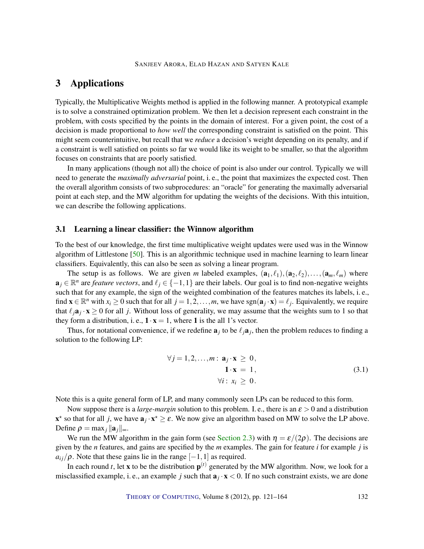## <span id="page-11-3"></span><span id="page-11-0"></span>3 Applications

Typically, the Multiplicative Weights method is applied in the following manner. A prototypical example is to solve a constrained optimization problem. We then let a decision represent each constraint in the problem, with costs specified by the points in the domain of interest. For a given point, the cost of a decision is made proportional to *how well* the corresponding constraint is satisfied on the point. This might seem counterintuitive, but recall that we *reduce* a decision's weight depending on its penalty, and if a constraint is well satisfied on points so far we would like its weight to be smaller, so that the algorithm focuses on constraints that are poorly satisfied.

In many applications (though not all) the choice of point is also under our control. Typically we will need to generate the *maximally adversarial* point, i. e., the point that maximizes the expected cost. Then the overall algorithm consists of two subprocedures: an "oracle" for generating the maximally adversarial point at each step, and the MW algorithm for updating the weights of the decisions. With this intuition, we can describe the following applications.

#### <span id="page-11-2"></span>3.1 Learning a linear classifier: the Winnow algorithm

To the best of our knowledge, the first time multiplicative weight updates were used was in the Winnow algorithm of Littlestone [\[50\]](#page-40-2). This is an algorithmic technique used in machine learning to learn linear classifiers. Equivalently, this can also be seen as solving a linear program.

The setup is as follows. We are given *m* labeled examples,  $(a_1, \ell_1), (a_2, \ell_2), \ldots, (a_m, \ell_m)$  where  $a_j \in \mathbb{R}^n$  are *feature vectors*, and  $\ell_j \in \{-1, 1\}$  are their labels. Our goal is to find non-negative weights such that for any example, the sign of the weighted combination of the features matches its labels, i. e., find  $\mathbf{x} \in \mathbb{R}^n$  with  $x_i \ge 0$  such that for all  $j = 1, 2, ..., m$ , we have  $sgn(\mathbf{a}_j \cdot \mathbf{x}) = \ell_j$ . Equivalently, we require that  $\ell_j \mathbf{a}_j \cdot \mathbf{x} \ge 0$  for all *j*. Without loss of generality, we may assume that the weights sum to 1 so that they form a distribution, i. e.,  $1 \cdot x = 1$ , where 1 is the all 1's vector.

Thus, for notational convenience, if we redefine  $\mathbf{a}_j$  to be  $\ell_j \mathbf{a}_j$ , then the problem reduces to finding a solution to the following LP:

<span id="page-11-1"></span>
$$
\forall j = 1, 2, \dots, m: \mathbf{a}_j \cdot \mathbf{x} \ge 0, \mathbf{1} \cdot \mathbf{x} = 1, \forall i: x_i \ge 0.
$$
\n(3.1)

Note this is a quite general form of LP, and many commonly seen LPs can be reduced to this form.

Now suppose there is a *large-margin* solution to this problem. I. e., there is an  $\varepsilon > 0$  and a distribution  $\mathbf{x}^*$  so that for all *j*, we have  $\mathbf{a}_j \cdot \mathbf{x}^* \ge \varepsilon$ . We now give an algorithm based on MW to solve the LP above. Define  $\rho = \max_i ||\mathbf{a}_i||_{\infty}$ .

We run the MW algorithm in the gain form (see [Section](#page-10-0) [2.3\)](#page-10-0) with  $\eta = \varepsilon/(2\rho)$ . The decisions are given by the *n* features, and gains are specified by the *m* examples. The gain for feature *i* for example *j* is  $a_{ij}/\rho$ . Note that these gains lie in the range  $[-1,1]$  as required.

In each round *t*, let **x** to be the distribution  $p^{(t)}$  generated by the MW algorithm. Now, we look for a misclassified example, i.e., an example *j* such that  $\mathbf{a}_j \cdot \mathbf{x} < 0$ . If no such constraint exists, we are done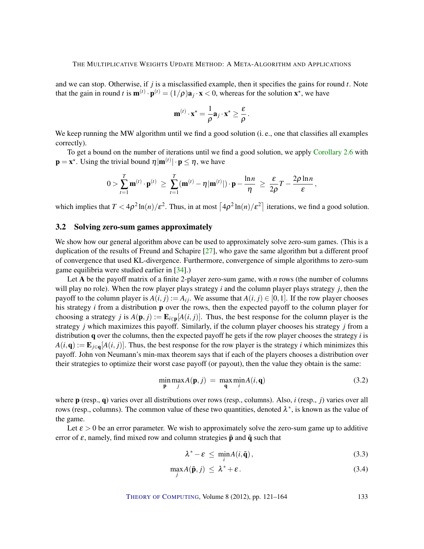<span id="page-12-2"></span>and we can stop. Otherwise, if *j* is a misclassified example, then it specifies the gains for round *t*. Note that the gain in round *t* is  $\mathbf{m}^{(t)} \cdot \mathbf{p}^{(t)} = (1/\rho) \mathbf{a}_j \cdot \mathbf{x} < 0$ , whereas for the solution  $\mathbf{x}^*$ , we have

$$
\mathbf{m}^{(t)} \cdot \mathbf{x}^{\star} = \frac{1}{\rho} \mathbf{a}_j \cdot \mathbf{x}^{\star} \geq \frac{\varepsilon}{\rho}.
$$

We keep running the MW algorithm until we find a good solution (i.e., one that classifies all examples correctly).

To get a bound on the number of iterations until we find a good solution, we apply [Corollary](#page-10-1) [2.6](#page-10-1) with  $\mathbf{p} = \mathbf{x}^*$ . Using the trivial bound  $\eta |\mathbf{m}^{(t)}| \cdot \mathbf{p} \leq \eta$ , we have

$$
0 > \sum_{t=1}^T \mathbf{m}^{(t)} \cdot \mathbf{p}^{(t)} \ \geq \ \sum_{t=1}^T (\mathbf{m}^{(t)} - \eta \, |\mathbf{m}^{(t)}|) \cdot \mathbf{p} - \frac{\ln n}{\eta} \ \geq \ \frac{\varepsilon}{2\rho} T - \frac{2\rho \ln n}{\varepsilon} \,,
$$

which implies that  $T < 4\rho^2 \ln(n)/\varepsilon^2$ . Thus, in at most  $\left[4\rho^2 \ln(n)/\varepsilon^2\right]$  iterations, we find a good solution.

#### <span id="page-12-0"></span>3.2 Solving zero-sum games approximately

We show how our general algorithm above can be used to approximately solve zero-sum games. (This is a duplication of the results of Freund and Schapire [\[27\]](#page-39-8), who gave the same algorithm but a different proof of convergence that used KL-divergence. Furthermore, convergence of simple algorithms to zero-sum game equilibria were studied earlier in [\[34\]](#page-39-6).)

Let A be the payoff matrix of a finite 2-player zero-sum game, with *n* rows (the number of columns will play no role). When the row player plays strategy *i* and the column player plays strategy *j*, then the payoff to the column player is  $A(i, j) := A_{ij}$ . We assume that  $A(i, j) \in [0, 1]$ . If the row player chooses his strategy *i* from a distribution p over the rows, then the expected payoff to the column player for choosing a strategy *j* is  $A(\mathbf{p}, j) := \mathbf{E}_{i \in \mathbf{p}}[A(i, j)]$ . Thus, the best response for the column player is the strategy *j* which maximizes this payoff. Similarly, if the column player chooses his strategy *j* from a distribution q over the columns, then the expected payoff he gets if the row player chooses the strategy *i* is  $A(i, \mathbf{q}) := \mathbf{E}_{i \in \mathbf{q}}[A(i, j)]$ . Thus, the best response for the row player is the strategy *i* which minimizes this payoff. John von Neumann's min-max theorem says that if each of the players chooses a distribution over their strategies to optimize their worst case payoff (or payout), then the value they obtain is the same:

$$
\min_{\mathbf{p}} \max_{j} A(\mathbf{p}, j) = \max_{\mathbf{q}} \min_{i} A(i, \mathbf{q})
$$
(3.2)

where p (resp., q) varies over all distributions over rows (resp., columns). Also, *i* (resp., *j*) varies over all rows (resp., columns). The common value of these two quantities, denoted  $\lambda^*$ , is known as the value of the game.

Let  $\varepsilon > 0$  be an error parameter. We wish to approximately solve the zero-sum game up to additive error of  $\varepsilon$ , namely, find mixed row and column strategies  $\tilde{p}$  and  $\tilde{q}$  such that

<span id="page-12-1"></span>
$$
\lambda^* - \varepsilon \le \min_i A(i, \tilde{\mathbf{q}}), \tag{3.3}
$$

$$
\max_{j} A(\tilde{\mathbf{p}}, j) \leq \lambda^* + \varepsilon. \tag{3.4}
$$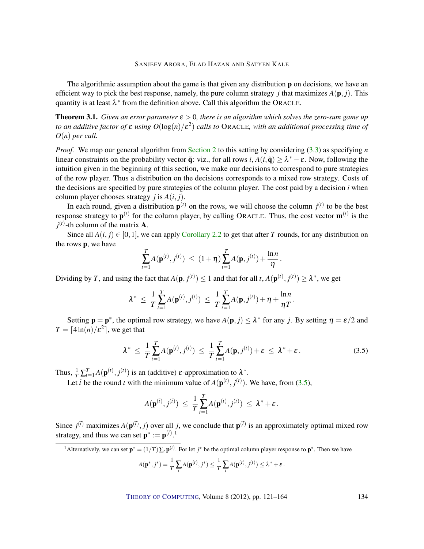The algorithmic assumption about the game is that given any distribution **p** on decisions, we have an efficient way to pick the best response, namely, the pure column strategy *j* that maximizes  $A(\mathbf{p}, i)$ . This quantity is at least  $\lambda^*$  from the definition above. Call this algorithm the ORACLE.

**Theorem 3.1.** *Given an error parameter*  $\varepsilon > 0$ , *there is an algorithm which solves the zero-sum game up to an additive factor of* ε *using O*(log(*n*)/ε 2 ) *calls to* ORACLE*, with an additional processing time of O*(*n*) *per call.*

*Proof.* We map our general algorithm from [Section](#page-5-0) [2](#page-5-0) to this setting by considering [\(3.3\)](#page-12-1) as specifying *n* linear constraints on the probability vector  $\tilde{\mathbf{q}}$ : viz., for all rows *i*,  $A(i, \tilde{\mathbf{q}}) \geq \lambda^* - \varepsilon$ . Now, following the intuition given in the beginning of this section, we make our decisions to correspond to pure strategies of the row player. Thus a distribution on the decisions corresponds to a mixed row strategy. Costs of the decisions are specified by pure strategies of the column player. The cost paid by a decision  $i$  when column player chooses strategy  $j$  is  $A(i, j)$ .

In each round, given a distribution  $p^{(t)}$  on the rows, we will choose the column  $j^{(t)}$  to be the best response strategy to  $p^{(t)}$  for the column player, by calling ORACLE. Thus, the cost vector  $m^{(t)}$  is the  $j^{(t)}$ -th column of the matrix **A**.

Since all  $A(i, j) \in [0, 1]$ , we can apply [Corollary](#page-7-0) [2.2](#page-7-0) to get that after *T* rounds, for any distribution on the rows p, we have

$$
\sum_{t=1}^T A(\mathbf{p}^{(t)}, j^{(t)}) \ \leq \ (1+\eta) \sum_{t=1}^T A(\mathbf{p}, j^{(t)}) + \frac{\ln n}{\eta}.
$$

Dividing by *T*, and using the fact that  $A(\mathbf{p}, j^{(t)}) \leq 1$  and that for all *t*,  $A(\mathbf{p}^{(t)}, j^{(t)}) \geq \lambda^*$ , we get

$$
\lambda^* \ \leq \ \frac{1}{T} \sum_{t=1}^T A(\mathbf{p}^{(t)}, j^{(t)}) \ \leq \ \frac{1}{T} \sum_{t=1}^T A(\mathbf{p}, j^{(t)}) + \eta + \frac{\ln n}{\eta T}.
$$

Setting  $\mathbf{p} = \mathbf{p}^*$ , the optimal row strategy, we have  $A(\mathbf{p}, j) \leq \lambda^*$  for any *j*. By setting  $\eta = \varepsilon/2$  and  $T = \lceil 4\ln(n)/\varepsilon^2 \rceil$ , we get that

<span id="page-13-0"></span>
$$
\lambda^* \leq \frac{1}{T} \sum_{t=1}^T A(\mathbf{p}^{(t)}, j^{(t)}) \leq \frac{1}{T} \sum_{t=1}^T A(\mathbf{p}, j^{(t)}) + \varepsilon \leq \lambda^* + \varepsilon.
$$
 (3.5)

Thus,  $\frac{1}{T} \sum_{t=1}^{T} A(\mathbf{p}^{(t)}, j^{(t)})$  is an (additive)  $\varepsilon$ -approximation to  $\lambda^*$ .

Let  $\tilde{t}$  be the round *t* with the minimum value of  $A(\mathbf{p}^{(t)}, j^{(t)})$ . We have, from [\(3.5\)](#page-13-0),

$$
A(\mathbf{p}^{(i)}, j^{(i)}) \ \leq \ \frac{1}{T} \sum_{t=1}^T A(\mathbf{p}^{(t)}, j^{(t)}) \ \leq \ \lambda^* + \varepsilon \, .
$$

Since  $j^{(\tilde{t})}$  maximizes  $A(\mathbf{p}^{(\tilde{t})},j)$  over all *j*, we conclude that  $\mathbf{p}^{(\tilde{t})}$  is an approximately optimal mixed row strategy, and thus we can set  $\mathbf{p}^* := \mathbf{p}^{(\tilde{t})}$ .<sup>1</sup>

<sup>1</sup>Alternatively, we can set  $\mathbf{p}^* = (1/T)\sum_t \mathbf{p}^{(t)}$ . For let *j*<sup>\*</sup> be the optimal column player response to  $\mathbf{p}^*$ . Then we have

$$
A(\mathbf{p}^*,j^*) = \frac{1}{T} \sum_t A(\mathbf{p}^{(t)},j^*) \leq \frac{1}{T} \sum_t A(\mathbf{p}^{(t)},j^{(t)}) \leq \lambda^* + \varepsilon.
$$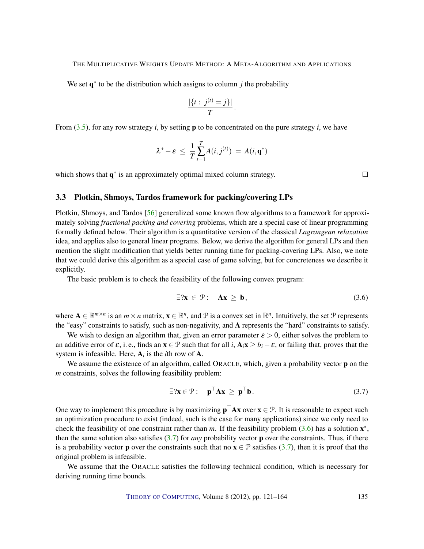<span id="page-14-3"></span>We set  $q^*$  to be the distribution which assigns to column *j* the probability

$$
\frac{|\{t: j^{(t)} = j\}|}{T}.
$$

From  $(3.5)$ , for any row strategy *i*, by setting **p** to be concentrated on the pure strategy *i*, we have

$$
\lambda^* - \varepsilon \ \leq \ \frac{1}{T} \sum_{t=1}^T A(i, j^{(t)}) \ = \ A(i, \mathbf{q}^*)
$$

which shows that  $q^*$  is an approximately optimal mixed column strategy.

 $\Box$ 

#### <span id="page-14-0"></span>3.3 Plotkin, Shmoys, Tardos framework for packing/covering LPs

Plotkin, Shmoys, and Tardos [\[56\]](#page-41-0) generalized some known flow algorithms to a framework for approximately solving *fractional packing and covering* problems, which are a special case of linear programming formally defined below. Their algorithm is a quantitative version of the classical *Lagrangean relaxation* idea, and applies also to general linear programs. Below, we derive the algorithm for general LPs and then mention the slight modification that yields better running time for packing-covering LPs. Also, we note that we could derive this algorithm as a special case of game solving, but for concreteness we describe it explicitly.

The basic problem is to check the feasibility of the following convex program:

<span id="page-14-1"></span>
$$
\exists ?\mathbf{x} \in \mathcal{P}: \quad \mathbf{A}\mathbf{x} \geq \mathbf{b},\tag{3.6}
$$

where  $A \in \mathbb{R}^{m \times n}$  is an  $m \times n$  matrix,  $\mathbf{x} \in \mathbb{R}^n$ , and  $\mathcal{P}$  is a convex set in  $\mathbb{R}^n$ . Intuitively, the set  $\mathcal{P}$  represents the "easy" constraints to satisfy, such as non-negativity, and A represents the "hard" constraints to satisfy.

We wish to design an algorithm that, given an error parameter  $\varepsilon > 0$ , either solves the problem to an additive error of  $\varepsilon$ , i.e., finds an  $\mathbf{x} \in \mathcal{P}$  such that for all *i*,  $\mathbf{A}_i \mathbf{x} > b_i - \varepsilon$ , or failing that, proves that the system is infeasible. Here,  $A_i$  is the *i*th row of  $A$ .

We assume the existence of an algorithm, called ORACLE, which, given a probability vector **p** on the *m* constraints, solves the following feasibility problem:

<span id="page-14-2"></span>
$$
\exists? \mathbf{x} \in \mathcal{P}: \quad \mathbf{p}^{\top} \mathbf{A} \mathbf{x} \geq \mathbf{p}^{\top} \mathbf{b}. \tag{3.7}
$$

One way to implement this procedure is by maximizing  $\mathbf{p}^\top A \mathbf{x}$  over  $\mathbf{x} \in \mathcal{P}$ . It is reasonable to expect such an optimization procedure to exist (indeed, such is the case for many applications) since we only need to check the feasibility of one constraint rather than  $m$ . If the feasibility problem  $(3.6)$  has a solution  $\mathbf{x}^*$ , then the same solution also satisfies [\(3.7\)](#page-14-2) for *any* probability vector p over the constraints. Thus, if there is a probability vector **p** over the constraints such that no  $\mathbf{x} \in \mathcal{P}$  satisfies [\(3.7\)](#page-14-2), then it is proof that the original problem is infeasible.

We assume that the ORACLE satisfies the following technical condition, which is necessary for deriving running time bounds.

THEORY OF C[OMPUTING](http://dx.doi.org/10.4086/toc), Volume 8 (2012), pp. 121–164 135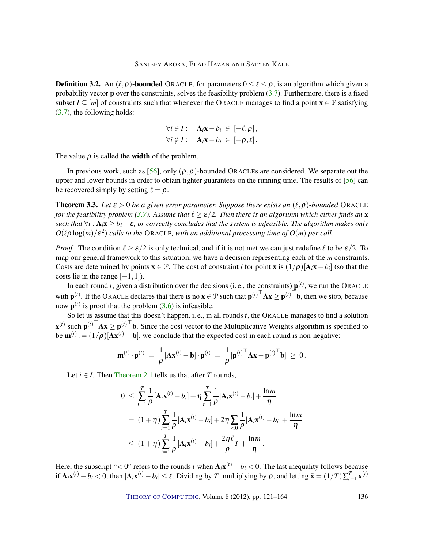<span id="page-15-1"></span>**Definition 3.2.** An  $(\ell, \rho)$ -**bounded** ORACLE, for parameters  $0 \leq \ell \leq \rho$ , is an algorithm which given a probability vector **p** over the constraints, solves the feasibility problem  $(3.7)$ . Furthermore, there is a fixed subset  $I \subseteq [m]$  of constraints such that whenever the ORACLE manages to find a point  $\mathbf{x} \in \mathcal{P}$  satisfying [\(3.7\)](#page-14-2), the following holds:

$$
\forall i \in I: \quad \mathbf{A}_i \mathbf{x} - b_i \in [-\ell, \rho],
$$
  

$$
\forall i \notin I: \quad \mathbf{A}_i \mathbf{x} - b_i \in [-\rho, \ell].
$$

The value  $\rho$  is called the **width** of the problem.

In previous work, such as [\[56\]](#page-41-0), only  $(\rho, \rho)$ -bounded ORACLEs are considered. We separate out the upper and lower bounds in order to obtain tighter guarantees on the running time. The results of [\[56\]](#page-41-0) can be recovered simply by setting  $\ell = \rho$ .

<span id="page-15-0"></span>**Theorem 3.3.** Let  $\varepsilon > 0$  be a given error parameter. Suppose there exists an  $(\ell, \rho)$ -bounded ORACLE *for the feasibility problem [\(3.7\)](#page-14-2). Assume that*  $\ell > \varepsilon/2$ *. Then there is an algorithm which either finds an* **x** *such that*  $\forall i$  .  $A_i x \ge b_i - \varepsilon$ , or correctly concludes that the system is infeasible. The algorithm makes only  $O(\ell \rho \log(m)/\varepsilon^2)$  calls to the ORACLE, with an additional processing time of  $O(m)$  per call.

*Proof.* The condition  $\ell > \varepsilon/2$  is only technical, and if it is not met we can just redefine  $\ell$  to be  $\varepsilon/2$ . To map our general framework to this situation, we have a decision representing each of the *m* constraints. Costs are determined by points  $\mathbf{x} \in \mathcal{P}$ . The cost of constraint *i* for point  $\mathbf{x}$  is  $(1/\rho)[\mathbf{A}_i\mathbf{x} - b_i]$  (so that the costs lie in the range  $[-1,1]$ ).

In each round *t*, given a distribution over the decisions (i. e., the constraints)  $p^{(t)}$ , we run the ORACLE with  $\mathbf{p}^{(t)}$ . If the ORACLE declares that there is no  $\mathbf{x} \in \mathcal{P}$  such that  $\mathbf{p}^{(t)}^\top \mathbf{A} \mathbf{x} \geq \mathbf{p}^{(t)}^\top \mathbf{b}$ , then we stop, because now  $\mathbf{p}^{(t)}$  is proof that the problem [\(3.6\)](#page-14-1) is infeasible.

So let us assume that this doesn't happen, i. e., in all rounds *t*, the ORACLE manages to find a solution  $\mathbf{x}^{(t)}$  such  $\mathbf{p}^{(t)}^\top \mathbf{A} \mathbf{x} \geq \mathbf{p}^{(t)}^\top \mathbf{b}$ . Since the cost vector to the Multiplicative Weights algorithm is specified to be  $\mathbf{m}^{(t)} := (1/\rho)[\mathbf{A}\mathbf{x}^{(t)} - \mathbf{b}]$ , we conclude that the expected cost in each round is non-negative:

$$
\mathbf{m}^{(t)} \cdot \mathbf{p}^{(t)} \ = \ \frac{1}{\rho} [\mathbf{A} \mathbf{x}^{(t)} - \mathbf{b}] \cdot \mathbf{p}^{(t)} \ = \ \frac{1}{\rho} [\mathbf{p}^{(t)}^\top \mathbf{A} \mathbf{x} - \mathbf{p}^{(t)}^\top \mathbf{b}] \ \geq \ 0 \, .
$$

Let  $i \in I$ . Then [Theorem](#page-5-1) [2.1](#page-5-1) tells us that after *T* rounds,

$$
0 \leq \sum_{t=1}^{T} \frac{1}{\rho} [\mathbf{A}_i \mathbf{x}^{(t)} - b_i] + \eta \sum_{t=1}^{T} \frac{1}{\rho} |\mathbf{A}_i \mathbf{x}^{(t)} - b_i| + \frac{\ln m}{\eta}
$$
  
=  $(1 + \eta) \sum_{t=1}^{T} \frac{1}{\rho} [\mathbf{A}_i \mathbf{x}^{(t)} - b_i] + 2\eta \sum_{t=0}^{T} \frac{1}{\rho} |\mathbf{A}_i \mathbf{x}^{(t)} - b_i| + \frac{\ln m}{\eta}$   
 $\leq (1 + \eta) \sum_{t=1}^{T} \frac{1}{\rho} [\mathbf{A}_i \mathbf{x}^{(t)} - b_i] + \frac{2\eta \ell}{\rho} T + \frac{\ln m}{\eta}.$ 

Here, the subscript " $< 0$ " refers to the rounds *t* when  $A_i x^{(t)} - b_i < 0$ . The last inequality follows because if  $\mathbf{A}_i \mathbf{x}^{(t)} - b_i < 0$ , then  $|\mathbf{A}_i \mathbf{x}^{(t)} - b_i| \le \ell$ . Dividing by *T*, multiplying by  $\rho$ , and letting  $\bar{\mathbf{x}} = (1/T) \sum_{t=1}^T \mathbf{x}^{(t)}$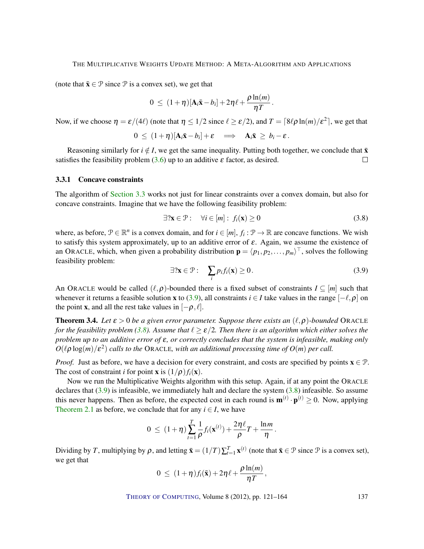(note that  $\bar{\mathbf{x}} \in \mathcal{P}$  since  $\mathcal{P}$  is a convex set), we get that

$$
0 \, \leq \, (1+\eta)[\mathbf{A}_i\bar{\mathbf{x}}-b_i]+2\eta\ell+\frac{\rho\ln(m)}{\eta\,T}.
$$

Now, if we choose  $\eta = \varepsilon/(4\ell)$  (note that  $\eta \le 1/2$  since  $\ell \ge \varepsilon/2$ ), and  $T = \lceil 8\ell\rho \ln(m)/\varepsilon^2 \rceil$ , we get that

$$
0 \leq (1+\eta)[\mathbf{A}_i\bar{\mathbf{x}}-b_i]+\varepsilon \implies \mathbf{A}_i\bar{\mathbf{x}} \geq b_i-\varepsilon.
$$

Reasoning similarly for  $i \notin I$ , we get the same inequality. Putting both together, we conclude that  $\bar{x}$ satisfies the feasibility problem  $(3.6)$  up to an additive  $\varepsilon$  factor, as desired.  $\Box$ 

#### 3.3.1 Concave constraints

The algorithm of [Section](#page-14-0) [3.3](#page-14-0) works not just for linear constraints over a convex domain, but also for concave constraints. Imagine that we have the following feasibility problem:

<span id="page-16-1"></span>
$$
\exists ?\mathbf{x} \in \mathcal{P}: \quad \forall i \in [m]: f_i(\mathbf{x}) \ge 0 \tag{3.8}
$$

where, as before,  $P \in \mathbb{R}^n$  is a convex domain, and for  $i \in [m]$ ,  $f_i : P \to \mathbb{R}$  are concave functions. We wish to satisfy this system approximately, up to an additive error of  $\varepsilon$ . Again, we assume the existence of an ORACLE, which, when given a probability distribution  $\mathbf{p} = (p_1, p_2, \dots, p_m)^\top$ , solves the following feasibility problem:

<span id="page-16-0"></span>
$$
\exists ?\mathbf{x} \in \mathcal{P}: \quad \sum_{i} p_i f_i(\mathbf{x}) \ge 0. \tag{3.9}
$$

An ORACLE would be called  $(\ell, \rho)$ -bounded there is a fixed subset of constraints  $I \subseteq [m]$  such that whenever it returns a feasible solution x to [\(3.9\)](#page-16-0), all constraints *i* ∈ *I* take values in the range  $[-\ell, \rho]$  on the point **x**, and all the rest take values in  $[-\rho, \ell]$ .

**Theorem 3.4.** Let  $\varepsilon > 0$  be a given error parameter. Suppose there exists an  $(\ell, \rho)$ -bounded ORACLE *for the feasibility problem [\(3.8\)](#page-16-1). Assume that*  $\ell \geq \varepsilon/2$ *. Then there is an algorithm which either solves the problem up to an additive error of* ε*, or correctly concludes that the system is infeasible, making only*  $O(\ell \rho \log(m)/\varepsilon^2)$  calls to the ORACLE, with an additional processing time of  $O(m)$  per call.

*Proof.* Just as before, we have a decision for every constraint, and costs are specified by points  $x \in \mathcal{P}$ . The cost of constraint *i* for point **x** is  $(1/\rho) f_i(\mathbf{x})$ .

Now we run the Multiplicative Weights algorithm with this setup. Again, if at any point the ORACLE declares that  $(3.9)$  is infeasible, we immediately halt and declare the system  $(3.8)$  infeasible. So assume this never happens. Then as before, the expected cost in each round is  $\mathbf{m}^{(t)} \cdot \mathbf{p}^{(t)} \ge 0$ . Now, applying [Theorem](#page-5-1) [2.1](#page-5-1) as before, we conclude that for any  $i \in I$ , we have

$$
0 \leq (1+\eta)\sum_{t=1}^T \frac{1}{\rho}f_i(\mathbf{x}^{(t)}) + \frac{2\eta \ell}{\rho}T + \frac{\ln m}{\eta}.
$$

Dividing by *T*, multiplying by  $\rho$ , and letting  $\bar{\mathbf{x}} = (1/T) \sum_{t=1}^{T} \mathbf{x}^{(t)}$  (note that  $\bar{\mathbf{x}} \in \mathcal{P}$  since  $\mathcal{P}$  is a convex set), we get that

$$
0 \, \leq \, (1+\eta)f_i(\bar{\mathbf{x}}) + 2\eta\ell + \frac{\rho\ln(m)}{\eta\,T}\,,
$$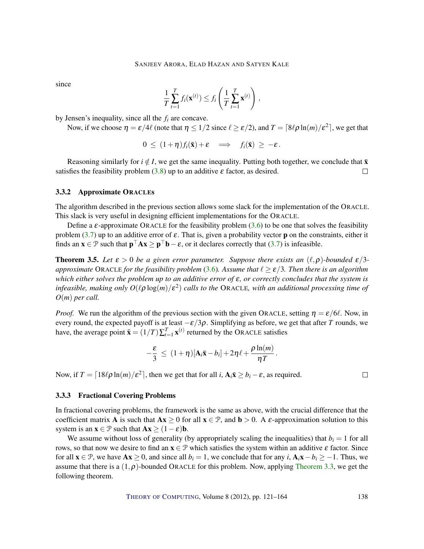since

$$
\frac{1}{T}\sum_{t=1}^T f_i(\mathbf{x}^{(t)}) \leq f_i\left(\frac{1}{T}\sum_{t=1}^T \mathbf{x}^{(t)}\right),\,
$$

by Jensen's inequality, since all the *f<sup>i</sup>* are concave.

Now, if we choose  $\eta = \varepsilon/4\ell$  (note that  $\eta \le 1/2$  since  $\ell \ge \varepsilon/2$ ), and  $T = \lceil 8\ell\rho \ln(m)/\varepsilon^2 \rceil$ , we get that

$$
0 \leq (1+\eta)f_i(\bar{\mathbf{x}})+\varepsilon \quad \Longrightarrow \quad f_i(\bar{\mathbf{x}}) \geq -\varepsilon.
$$

Reasoning similarly for  $i \notin I$ , we get the same inequality. Putting both together, we conclude that  $\bar{x}$ satisfies the feasibility problem  $(3.8)$  up to an additive  $\varepsilon$  factor, as desired.  $\Box$ 

#### 3.3.2 Approximate ORACLEs

The algorithm described in the previous section allows some slack for the implementation of the ORACLE. This slack is very useful in designing efficient implementations for the ORACLE.

Define a  $\varepsilon$ -approximate ORACLE for the feasibility problem [\(3.6\)](#page-14-1) to be one that solves the feasibility problem [\(3.7\)](#page-14-2) up to an additive error of  $\varepsilon$ . That is, given a probability vector **p** on the constraints, either it finds an  $\mathbf{x} \in \mathcal{P}$  such that  $\mathbf{p}^\top \mathbf{A} \mathbf{x} \geq \mathbf{p}^\top \mathbf{b} - \varepsilon$ , or it declares correctly that [\(3.7\)](#page-14-2) is infeasible.

**Theorem 3.5.** Let  $\varepsilon > 0$  be a given error parameter. Suppose there exists an  $(\ell, \rho)$ -bounded  $\varepsilon/3$ *approximate* ORACLE *for the feasibility problem* [\(3.6\)](#page-14-1)*.* Assume that  $\ell \geq \varepsilon/3$ *. Then there is an algorithm which either solves the problem up to an additive error of* ε*, or correctly concludes that the system is*  $\hat{m}$  *infeasible, making only*  $O(\ell \rho \log(m)/\varepsilon^2)$  calls to the ORACLE, with an additional processing time of *O*(*m*) *per call.*

*Proof.* We run the algorithm of the previous section with the given ORACLE, setting  $\eta = \varepsilon/6\ell$ . Now, in every round, the expected payoff is at least  $-\varepsilon/3\rho$ . Simplifying as before, we get that after *T* rounds, we have, the average point  $\bar{\mathbf{x}} = (1/T) \sum_{t=1}^{T} \mathbf{x}^{(t)}$  returned by the ORACLE satisfies

$$
-\frac{\varepsilon}{3} \, \leq \, (1+\eta)[\mathbf{A}_i\bar{\mathbf{x}}-b_i]+2\eta\ell+\frac{\rho\ln(m)}{\eta\,T}.
$$

Now, if  $T = \lceil 18\ell\rho \ln(m)/\varepsilon^2 \rceil$ , then we get that for all *i*,  $A_i\bar{x} \ge b_i - \varepsilon$ , as required.

 $\Box$ 

#### 3.3.3 Fractional Covering Problems

In fractional covering problems, the framework is the same as above, with the crucial difference that the coefficient matrix **A** is such that  $Ax \ge 0$  for all  $x \in \mathcal{P}$ , and  $b > 0$ . A  $\varepsilon$ -approximation solution to this system is an  $\mathbf{x} \in \mathcal{P}$  such that  $\mathbf{A}\mathbf{x} \geq (1-\varepsilon)\mathbf{b}$ .

We assume without loss of generality (by appropriately scaling the inequalities) that  $b_i = 1$  for all rows, so that now we desire to find an  $x \in \mathcal{P}$  which satisfies the system within an additive  $\varepsilon$  factor. Since for all  $\mathbf{x} \in \mathcal{P}$ , we have  $\mathbf{A}\mathbf{x} \geq 0$ , and since all  $b_i = 1$ , we conclude that for any *i*,  $\mathbf{A}_i\mathbf{x} - b_i \geq -1$ . Thus, we assume that there is a  $(1, \rho)$ -bounded ORACLE for this problem. Now, applying [Theorem](#page-15-0) [3.3,](#page-15-0) we get the following theorem.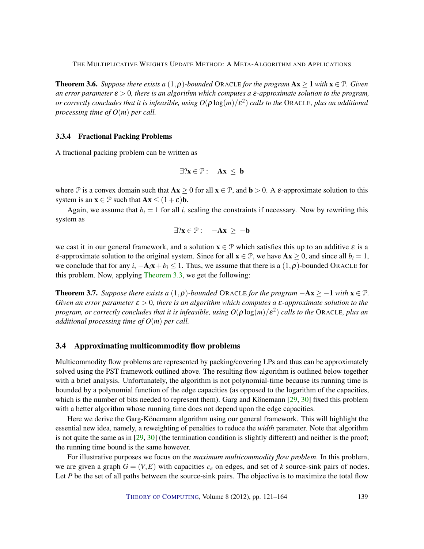<span id="page-18-2"></span>**Theorem 3.6.** *Suppose there exists a*  $(1, \rho)$ *-bounded* ORACLE *for the program*  $\mathbf{A}\mathbf{x} \geq 1$  *with*  $\mathbf{x} \in \mathcal{P}$ *. Given an error parameter* ε > 0*, there is an algorithm which computes a* ε*-approximate solution to the program, or correctly concludes that it is infeasible, using O*(ρ log(*m*)/ε 2 ) *calls to the* ORACLE*, plus an additional processing time of O*(*m*) *per call.*

#### <span id="page-18-1"></span>3.3.4 Fractional Packing Problems

A fractional packing problem can be written as

$$
\exists ?x\in\mathcal{P}:\quad Ax\,\leq\,b
$$

where P is a convex domain such that  $Ax \ge 0$  for all  $x \in \mathcal{P}$ , and  $b > 0$ . A  $\varepsilon$ -approximate solution to this system is an  $\mathbf{x} \in \mathcal{P}$  such that  $\mathbf{A}\mathbf{x} \leq (1+\varepsilon)\mathbf{b}$ .

Again, we assume that  $b_i = 1$  for all *i*, scaling the constraints if necessary. Now by rewriting this system as

$$
\exists ?x \in \mathcal{P}: \quad -Ax \, \geq \, -b
$$

we cast it in our general framework, and a solution  $x \in \mathcal{P}$  which satisfies this up to an additive  $\varepsilon$  is a  $\varepsilon$ -approximate solution to the original system. Since for all  $\mathbf{x} \in \mathcal{P}$ , we have  $\mathbf{A}\mathbf{x} \geq 0$ , and since all  $b_i = 1$ , we conclude that for any  $i, -A_i x + b_i \le 1$ . Thus, we assume that there is a  $(1, \rho)$ -bounded ORACLE for this problem. Now, applying [Theorem](#page-15-0) [3.3,](#page-15-0) we get the following:

**Theorem 3.7.** *Suppose there exists a*  $(1, \rho)$ *-bounded* ORACLE *for the program*  $-Ax \ge -1$  *with*  $x \in \mathcal{P}$ *. Given an error parameter* ε > 0*, there is an algorithm which computes a* ε*-approximate solution to the program, or correctly concludes that it is infeasible, using O*(ρ log(*m*)/ε 2 ) *calls to the* ORACLE*, plus an additional processing time of O*(*m*) *per call.*

#### <span id="page-18-0"></span>3.4 Approximating multicommodity flow problems

Multicommodity flow problems are represented by packing/covering LPs and thus can be approximately solved using the PST framework outlined above. The resulting flow algorithm is outlined below together with a brief analysis. Unfortunately, the algorithm is not polynomial-time because its running time is bounded by a polynomial function of the edge capacities (as opposed to the logarithm of the capacities, which is the number of bits needed to represent them). Garg and Könemann  $[29, 30]$  $[29, 30]$  $[29, 30]$  $[29, 30]$  fixed this problem with a better algorithm whose running time does not depend upon the edge capacities.

Here we derive the Garg-Könemann algorithm using our general framework. This will highlight the essential new idea, namely, a reweighting of penalties to reduce the *width* parameter. Note that algorithm is not quite the same as in  $[29, 30]$  $[29, 30]$  $[29, 30]$  (the termination condition is slightly different) and neither is the proof; the running time bound is the same however.

For illustrative purposes we focus on the *maximum multicommodity flow problem*. In this problem, we are given a graph  $G = (V, E)$  with capacities  $c_e$  on edges, and set of *k* source-sink pairs of nodes. Let  $P$  be the set of all paths between the source-sink pairs. The objective is to maximize the total flow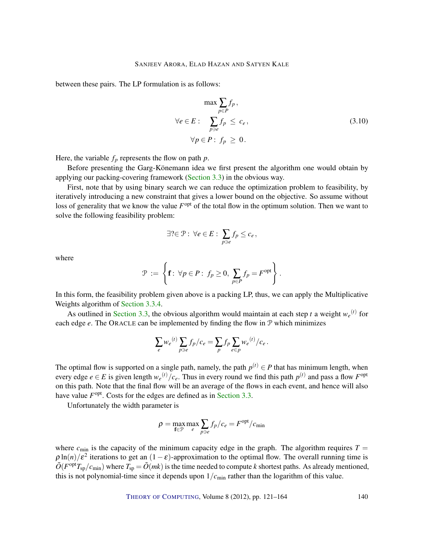between these pairs. The LP formulation is as follows:

$$
\max \sum_{p \in P} f_p,
$$
  
\n
$$
\forall e \in E: \sum_{p \ni e} f_p \le c_e,
$$
  
\n
$$
\forall p \in P: f_p \ge 0.
$$
\n(3.10)

Here, the variable  $f_p$  represents the flow on path  $p$ .

Before presenting the Garg-Könemann idea we first present the algorithm one would obtain by applying our packing-covering framework [\(Section](#page-14-0) [3.3\)](#page-14-0) in the obvious way.

First, note that by using binary search we can reduce the optimization problem to feasibility, by iteratively introducing a new constraint that gives a lower bound on the objective. So assume without loss of generality that we know the value  $F^{\text{opt}}$  of the total flow in the optimum solution. Then we want to solve the following feasibility problem:

$$
\exists \exists \in \mathcal{P} : \ \forall e \in E : \ \sum_{p \ni e} f_p \leq c_e \,,
$$

where

$$
\mathcal{P} := \left\{ \mathbf{f} : \forall p \in P : f_p \geq 0, \sum_{p \in P} f_p = F^{\text{opt}} \right\}.
$$

In this form, the feasibility problem given above is a packing LP, thus, we can apply the Multiplicative Weights algorithm of [Section](#page-18-1) [3.3.4.](#page-18-1)

As outlined in [Section](#page-14-0) [3.3,](#page-14-0) the obvious algorithm would maintain at each step *t* a weight  $w_e^{(t)}$  for each edge *e*. The ORACLE can be implemented by finding the flow in P which minimizes

$$
\sum_{e} w_e^{(t)} \sum_{p \ni e} f_p / c_e = \sum_{p} f_p \sum_{e \in p} w_e^{(t)} / c_e.
$$

The optimal flow is supported on a single path, namely, the path  $p^{(t)} \in P$  that has minimum length, when every edge  $e \in E$  is given length  $w_e^{(t)}/c_e$ . Thus in every round we find this path  $p^{(t)}$  and pass a flow  $F^{opt}$ on this path. Note that the final flow will be an average of the flows in each event, and hence will also have value  $F<sup>opt</sup>$ . Costs for the edges are defined as in [Section](#page-14-0) [3.3.](#page-14-0)

Unfortunately the width parameter is

$$
\rho = \max_{\mathbf{f} \in \mathcal{P}} \max_{e} \sum_{p \ni e} f_p / c_e = F^{\text{opt}} / c_{\text{min}}
$$

where  $c_{\text{min}}$  is the capacity of the minimum capacity edge in the graph. The algorithm requires  $T =$  $\rho \ln(n)/\varepsilon^2$  iterations to get an  $(1-\varepsilon)$ -approximation to the optimal flow. The overall running time is  $\tilde{O}(F^{\text{opt}}T_{\text{sp}}/c_{\text{min}})$  where  $T_{\text{sp}} = \tilde{O}(mk)$  is the time needed to compute *k* shortest paths. As already mentioned, this is not polynomial-time since it depends upon  $1/c_{\text{min}}$  rather than the logarithm of this value.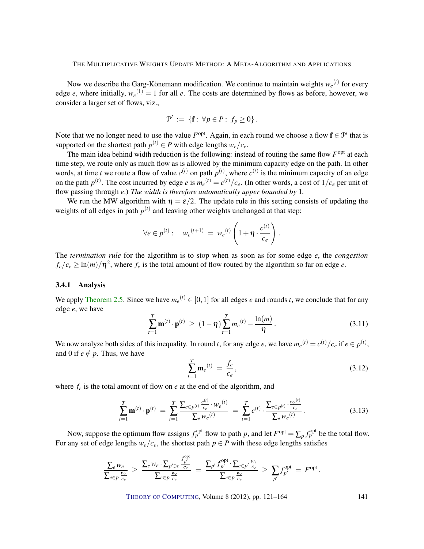Now we describe the Garg-Könemann modification. We continue to maintain weights  $w_e^{(t)}$  for every edge *e*, where initially,  $w_e^{(1)} = 1$  for all *e*. The costs are determined by flows as before, however, we consider a larger set of flows, viz.,

$$
\mathcal{P}' := \{ \mathbf{f} : \forall p \in P : f_p \geq 0 \}.
$$

Note that we no longer need to use the value  $F^{\text{opt}}$ . Again, in each round we choose a flow  $f \in \mathcal{P}'$  that is supported on the shortest path  $p^{(t)} \in P$  with edge lengths  $w_e/c_e$ .

The main idea behind width reduction is the following: instead of routing the same flow  $F^{\text{opt}}$  at each time step, we route only as much flow as is allowed by the minimum capacity edge on the path. In other words, at time *t* we route a flow of value  $c^{(t)}$  on path  $p^{(t)}$ , where  $c^{(t)}$  is the minimum capacity of an edge on the path  $p^{(t)}$ . The cost incurred by edge *e* is  $m_e^{(t)} = c^{(t)}/c_e$ . (In other words, a cost of  $1/c_e$  per unit of flow passing through *e*.) *The width is therefore automatically upper bounded by* 1*.*

We run the MW algorithm with  $\eta = \varepsilon/2$ . The update rule in this setting consists of updating the weights of all edges in path  $p^{(t)}$  and leaving other weights unchanged at that step:

$$
\forall e \in p^{(t)}: \quad w_e^{(t+1)} = w_e^{(t)} \left( 1 + \eta \cdot \frac{c^{(t)}}{c_e} \right).
$$

The *termination rule* for the algorithm is to stop when as soon as for some edge *e*, the *congestion*  $f_e/c_e \geq \ln(m)/\eta^2$ , where  $f_e$  is the total amount of flow routed by the algorithm so far on edge *e*.

#### 3.4.1 Analysis

We apply [Theorem](#page-10-2) [2.5.](#page-10-2) Since we have  $m_e^{(t)} \in [0,1]$  for all edges *e* and rounds *t*, we conclude that for any edge *e*, we have

<span id="page-20-2"></span>
$$
\sum_{t=1}^{T} \mathbf{m}^{(t)} \cdot \mathbf{p}^{(t)} \ge (1 - \eta) \sum_{t=1}^{T} m_e^{(t)} - \frac{\ln(m)}{\eta}.
$$
 (3.11)

We now analyze both sides of this inequality. In round *t*, for any edge *e*, we have  $m_e^{(t)} = c^{(t)}/c_e$  if  $e \in p^{(t)}$ , and 0 if  $e \notin p$ . Thus, we have

<span id="page-20-1"></span>
$$
\sum_{t=1}^{T} \mathbf{m}_e^{(t)} = \frac{f_e}{c_e},
$$
\n(3.12)

where  $f_e$  is the total amount of flow on *e* at the end of the algorithm, and

<span id="page-20-0"></span>
$$
\sum_{t=1}^{T} \mathbf{m}^{(t)} \cdot \mathbf{p}^{(t)} = \sum_{t=1}^{T} \frac{\sum_{e \in p^{(t)}} \frac{c^{(t)}}{c_e} \cdot w_e^{(t)}}{\sum_e w_e^{(t)}} = \sum_{t=1}^{T} c^{(t)} \cdot \frac{\sum_{e \in p^{(t)}} \frac{w_e^{(t)}}{c_e}}{\sum_e w_e^{(t)}}.
$$
(3.13)

Now, suppose the optimum flow assigns  $f_p^{\text{opt}}$  flow to path *p*, and let  $F^{\text{opt}} = \sum_p f_p^{\text{opt}}$  be the total flow. For any set of edge lengths  $w_e/c_e$ , the shortest path  $p \in P$  with these edge lengths satisfies

$$
\frac{\sum_e w_e}{\sum_{e \in p} \frac{w_e}{c_e}} \geq \frac{\sum_e w_e \cdot \sum_{p' \ni e} \frac{f_{p'}^{\text{opt}}}{c_e}}{\sum_{e \in p} \frac{w_e}{c_e}} = \frac{\sum_{p'} f_{p'}^{\text{opt}} \cdot \sum_{e \in p'} \frac{w_e}{c_e}}{\sum_{e \in p} \frac{w_e}{c_e}} \geq \sum_{p'} f_{p'}^{\text{opt}} = F^{\text{opt}}.
$$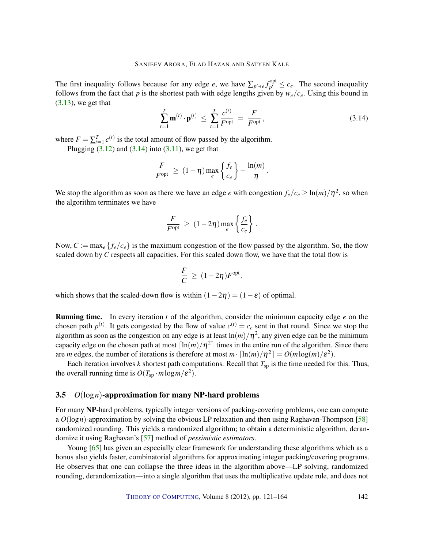<span id="page-21-2"></span>The first inequality follows because for any edge *e*, we have  $\sum_{p' \ni e} f_{p'}^{\text{opt}}$  $p^{\text{opt}} \leq c_e$ . The second inequality follows from the fact that *p* is the shortest path with edge lengths given by  $w_e/c_e$ . Using this bound in  $(3.13)$ , we get that

<span id="page-21-1"></span>
$$
\sum_{t=1}^{T} \mathbf{m}^{(t)} \cdot \mathbf{p}^{(t)} \le \sum_{t=1}^{T} \frac{c^{(t)}}{F^{\text{opt}}} = \frac{F}{F^{\text{opt}}},\tag{3.14}
$$

.

where  $F = \sum_{t=1}^{T} c^{(t)}$  is the total amount of flow passed by the algorithm.

Plugging  $(3.12)$  and  $(3.14)$  into  $(3.11)$ , we get that

$$
\frac{F}{F^{\text{opt}}} \ge (1 - \eta) \max_{e} \left\{ \frac{f_e}{c_e} \right\} - \frac{\ln(m)}{\eta}
$$

We stop the algorithm as soon as there we have an edge *e* with congestion  $f_e/c_e \ge \ln(m)/\eta^2$ , so when the algorithm terminates we have

$$
\frac{F}{F^{\rm opt}} \, \geq \, (1-2\eta) \max_{e} \left\{ \frac{f_e}{c_e} \right\}.
$$

Now,  $C := \max_{e} \{ f_e/c_e \}$  is the maximum congestion of the flow passed by the algorithm. So, the flow scaled down by *C* respects all capacities. For this scaled down flow, we have that the total flow is

$$
\frac{F}{C} \ge (1-2\eta)F^{\text{opt}},
$$

which shows that the scaled-down flow is within  $(1-2\eta) = (1-\varepsilon)$  of optimal.

Running time. In every iteration *t* of the algorithm, consider the minimum capacity edge *e* on the chosen path  $p^{(t)}$ . It gets congested by the flow of value  $c^{(t)} = c_e$  sent in that round. Since we stop the algorithm as soon as the congestion on any edge is at least  $\ln(m)/\eta^2$ , any given edge can be the minimum capacity edge on the chosen path at most  $\lceil \ln(m)/\eta^2 \rceil$  times in the entire run of the algorithm. Since there are *m* edges, the number of iterations is therefore at most  $m \cdot [\ln(m)/\eta^2] = O(m \log(m)/\epsilon^2)$ .

Each iteration involves  $k$  shortest path computations. Recall that  $T_{sp}$  is the time needed for this. Thus, the overall running time is  $O(T_{sp} \cdot m \log m / \varepsilon^2)$ .

#### <span id="page-21-0"></span>3.5 *O*(log*n*)-approximation for many NP-hard problems

For many NP-hard problems, typically integer versions of packing-covering problems, one can compute a *O*(log*n*)-approximation by solving the obvious LP relaxation and then using Raghavan-Thompson [\[58\]](#page-41-6) randomized rounding. This yields a randomized algorithm; to obtain a deterministic algorithm, derandomize it using Raghavan's [\[57\]](#page-41-7) method of *pessimistic estimators*.

Young [\[65\]](#page-42-3) has given an especially clear framework for understanding these algorithms which as a bonus also yields faster, combinatorial algorithms for approximating integer packing/covering programs. He observes that one can collapse the three ideas in the algorithm above—LP solving, randomized rounding, derandomization—into a single algorithm that uses the multiplicative update rule, and does not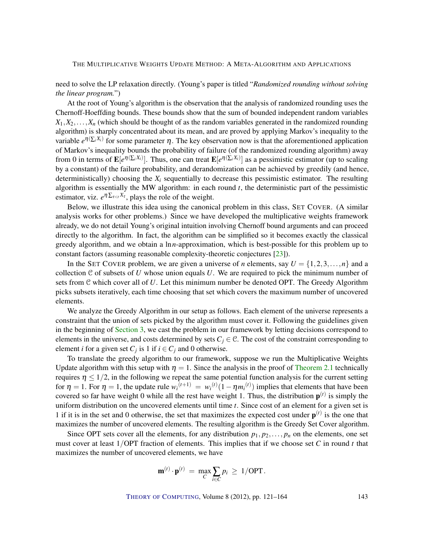<span id="page-22-0"></span>need to solve the LP relaxation directly. (Young's paper is titled "*Randomized rounding without solving the linear program.*")

At the root of Young's algorithm is the observation that the analysis of randomized rounding uses the Chernoff-Hoeffding bounds. These bounds show that the sum of bounded independent random variables  $X_1, X_2, \ldots, X_n$  (which should be thought of as the random variables generated in the randomized rounding algorithm) is sharply concentrated about its mean, and are proved by applying Markov's inequality to the variable  $e^{\eta(\sum_i X_i)}$  for some parameter  $\eta$ . The key observation now is that the aforementioned application of Markov's inequality bounds the probability of failure (of the randomized rounding algorithm) away from 0 in terms of  $\mathbf{E}[e^{\eta(\sum_i X_i)}]$ . Thus, one can treat  $\mathbf{E}[e^{\eta(\sum_i X_i)}]$  as a pessimistic estimator (up to scaling by a constant) of the failure probability, and derandomization can be achieved by greedily (and hence, deterministically) choosing the  $X_i$  sequentially to decrease this pessimistic estimator. The resulting algorithm is essentially the MW algorithm: in each round *t*, the deterministic part of the pessimistic estimator, viz.  $e^{\eta \sum_{\tau \leq t} X_{\tau}}$ , plays the role of the weight.

Below, we illustrate this idea using the canonical problem in this class, SET COVER. (A similar analysis works for other problems.) Since we have developed the multiplicative weights framework already, we do not detail Young's original intuition involving Chernoff bound arguments and can proceed directly to the algorithm. In fact, the algorithm can be simplified so it becomes exactly the classical greedy algorithm, and we obtain a ln*n*-approximation, which is best-possible for this problem up to constant factors (assuming reasonable complexity-theoretic conjectures [\[23\]](#page-38-8)).

In the SET COVER problem, we are given a universe of *n* elements, say  $U = \{1, 2, 3, ..., n\}$  and a collection C of subsets of *U* whose union equals *U*. We are required to pick the minimum number of sets from C which cover all of *U*. Let this minimum number be denoted OPT. The Greedy Algorithm picks subsets iteratively, each time choosing that set which covers the maximum number of uncovered elements.

We analyze the Greedy Algorithm in our setup as follows. Each element of the universe represents a constraint that the union of sets picked by the algorithm must cover it. Following the guidelines given in the beginning of [Section](#page-11-0) [3,](#page-11-0) we cast the problem in our framework by letting decisions correspond to elements in the universe, and costs determined by sets  $C_j \in \mathcal{C}$ . The cost of the constraint corresponding to element *i* for a given set  $C_j$  is 1 if  $i \in C_j$  and 0 otherwise.

To translate the greedy algorithm to our framework, suppose we run the Multiplicative Weights Update algorithm with this setup with  $\eta = 1$ . Since the analysis in the proof of [Theorem](#page-5-1) [2.1](#page-5-1) technically requires  $\eta \leq 1/2$ , in the following we repeat the same potential function analysis for the current setting for  $\eta = 1$ . For  $\eta = 1$ , the update rule  $w_i^{(t+1)} = w_i^{(t)}(1 - \eta m_i^{(t)})$  implies that elements that have been covered so far have weight 0 while all the rest have weight 1. Thus, the distribution  $p^{(t)}$  is simply the uniform distribution on the uncovered elements until time *t*. Since cost of an element for a given set is 1 if it is in the set and 0 otherwise, the set that maximizes the expected cost under  $p^{(t)}$  is the one that maximizes the number of uncovered elements. The resulting algorithm is the Greedy Set Cover algorithm.

Since OPT sets cover all the elements, for any distribution  $p_1, p_2, \ldots, p_n$  on the elements, one set must cover at least 1/OPT fraction of elements. This implies that if we choose set *C* in round *t* that maximizes the number of uncovered elements, we have

$$
\mathbf{m}^{(t)} \cdot \mathbf{p}^{(t)} = \max_{C} \sum_{i \in C} p_i \geq 1/\text{OPT}.
$$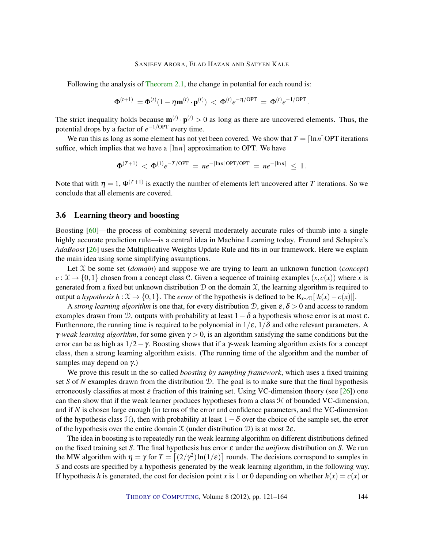<span id="page-23-1"></span>Following the analysis of [Theorem](#page-5-1) [2.1,](#page-5-1) the change in potential for each round is:

$$
\Phi^{(t+1)} = \Phi^{(t)}(1 - \eta \mathbf{m}^{(t)} \cdot \mathbf{p}^{(t)}) < \Phi^{(t)} e^{-\eta/\text{OPT}} = \Phi^{(t)} e^{-1/\text{OPT}}.
$$

The strict inequality holds because  $\mathbf{m}^{(t)} \cdot \mathbf{p}^{(t)} > 0$  as long as there are uncovered elements. Thus, the potential drops by a factor of  $e^{-1/\text{OPT}}$  every time.

We run this as long as some element has not yet been covered. We show that  $T = \lceil \ln n \rceil$  OPT iterations suffice, which implies that we have a  $\lceil \ln n \rceil$  approximation to OPT. We have

$$
\Phi^{(T+1)} < \Phi^{(1)} e^{-T/\text{OPT}} = n e^{-\lceil \ln n \rceil \text{OPT}/\text{OPT}} = n e^{-\lceil \ln n \rceil} \leq 1.
$$

Note that with  $\eta = 1$ ,  $\Phi^{(T+1)}$  is exactly the number of elements left uncovered after *T* iterations. So we conclude that all elements are covered.

#### <span id="page-23-0"></span>3.6 Learning theory and boosting

Boosting [\[60\]](#page-41-8)—the process of combining several moderately accurate rules-of-thumb into a single highly accurate prediction rule—is a central idea in Machine Learning today. Freund and Schapire's *AdaBoost* [\[26\]](#page-39-0) uses the Multiplicative Weights Update Rule and fits in our framework. Here we explain the main idea using some simplifying assumptions.

Let X be some set (*domain*) and suppose we are trying to learn an unknown function (*concept*)  $c: \mathcal{X} \to \{0,1\}$  chosen from a concept class C. Given a sequence of training examples  $(x, c(x))$  where *x* is generated from a fixed but unknown distribution  $D$  on the domain  $X$ , the learning algorithm is required to output a *hypothesis*  $h : \mathcal{X} \to \{0,1\}$ . The *error* of the hypothesis is defined to be  $\mathbf{E}_{x \sim \mathcal{D}}[|h(x) - c(x)|]$ .

A *strong learning algorithm* is one that, for every distribution D, given  $\varepsilon$ ,  $\delta > 0$  and access to random examples drawn from D, outputs with probability at least  $1-\delta$  a hypothesis whose error is at most  $\varepsilon$ . Furthermore, the running time is required to be polynomial in  $1/\varepsilon$ ,  $1/\delta$  and othe relevant parameters. A *γ-weak learning algorithm*, for some given  $\gamma > 0$ , is an algorithm satisfying the same conditions but the error can be as high as  $1/2 - \gamma$ . Boosting shows that if a γ-weak learning algorithm exists for a concept class, then a strong learning algorithm exists. (The running time of the algorithm and the number of samples may depend on  $\gamma$ .)

We prove this result in the so-called *boosting by sampling framework*, which uses a fixed training set *S* of *N* examples drawn from the distribution D. The goal is to make sure that the final hypothesis erroneously classifies at most  $\varepsilon$  fraction of this training set. Using VC-dimension theory (see [\[26\]](#page-39-0)) one can then show that if the weak learner produces hypotheses from a class  $H$  of bounded VC-dimension, and if *N* is chosen large enough (in terms of the error and confidence parameters, and the VC-dimension of the hypothesis class  $\mathcal{H}$ ), then with probability at least  $1-\delta$  over the choice of the sample set, the error of the hypothesis over the entire domain  $\mathfrak X$  (under distribution  $\mathfrak D$ ) is at most  $2\varepsilon$ .

The idea in boosting is to repeatedly run the weak learning algorithm on different distributions defined on the fixed training set *S*. The final hypothesis has error ε under the *uniform* distribution on *S*. We run the MW algorithm with  $\eta = \gamma$  for  $T = \left[ (2/\gamma^2) \ln(1/\varepsilon) \right]$  rounds. The decisions correspond to samples in *S* and costs are specified by a hypothesis generated by the weak learning algorithm, in the following way. If hypothesis *h* is generated, the cost for decision point *x* is 1 or 0 depending on whether  $h(x) = c(x)$  or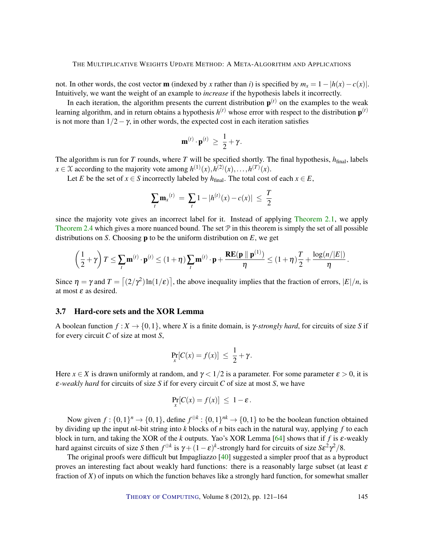<span id="page-24-1"></span>not. In other words, the cost vector **m** (indexed by *x* rather than *i*) is specified by  $m_x = 1 - |h(x) - c(x)|$ . Intuitively, we want the weight of an example to *increase* if the hypothesis labels it incorrectly.

In each iteration, the algorithm presents the current distribution  $p^{(t)}$  on the examples to the weak learning algorithm, and in return obtains a hypothesis  $h^{(t)}$  whose error with respect to the distribution  $p^{(t)}$ is not more than  $1/2 - \gamma$ , in other words, the expected cost in each iteration satisfies

$$
\mathbf{m}^{(t)}\cdot\mathbf{p}^{(t)}\ \geq\ \frac{1}{2}+\gamma.
$$

The algorithm is run for *T* rounds, where *T* will be specified shortly. The final hypothesis,  $h_{final}$ , labels  $x \in \mathcal{X}$  according to the majority vote among  $h^{(1)}(x), h^{(2)}(x), \ldots, h^{(T)}(x)$ .

Let *E* be the set of  $x \in S$  incorrectly labeled by  $h_{\text{final}}$ . The total cost of each  $x \in E$ ,

$$
\sum_{t} \mathbf{m}_x^{(t)} = \sum_{t} 1 - |h^{(t)}(x) - c(x)| \leq \frac{T}{2}
$$

since the majority vote gives an incorrect label for it. Instead of applying [Theorem](#page-5-1) [2.1,](#page-5-1) we apply [Theorem](#page-9-1) [2.4](#page-9-1) which gives a more nuanced bound. The set  $P$  in this theorem is simply the set of all possible distributions on *S*. Choosing **p** to be the uniform distribution on  $E$ , we get

$$
\left(\frac{1}{2}+\gamma\right)T \leq \sum_{t} \mathbf{m}^{(t)}\cdot \mathbf{p}^{(t)} \leq (1+\eta)\sum_{t} \mathbf{m}^{(t)}\cdot \mathbf{p} + \frac{\mathbf{RE}(\mathbf{p}\parallel \mathbf{p}^{(1)})}{\eta} \leq (1+\eta)\frac{T}{2} + \frac{\log(n/|E|)}{\eta}.
$$

Since  $\eta = \gamma$  and  $T = \left[ (2/\gamma^2) \ln(1/\varepsilon) \right]$ , the above inequality implies that the fraction of errors,  $|E|/n$ , is at most  $\varepsilon$  as desired.

#### <span id="page-24-0"></span>3.7 Hard-core sets and the XOR Lemma

A boolean function  $f: X \to \{0, 1\}$ , where *X* is a finite domain, is *y*-strongly hard, for circuits of size *S* if for every circuit *C* of size at most *S*,

$$
\Pr_x[C(x) = f(x)] \leq \frac{1}{2} + \gamma.
$$

Here  $x \in X$  is drawn uniformly at random, and  $\gamma < 1/2$  is a parameter. For some parameter  $\varepsilon > 0$ , it is ε*-weakly hard* for circuits of size *S* if for every circuit *C* of size at most *S*, we have

$$
\Pr_x[C(x) = f(x)] \leq 1 - \varepsilon.
$$

Now given  $f: \{0,1\}^n \to \{0,1\}$ , define  $f^{\oplus k}: \{0,1\}^{nk} \to \{0,1\}$  to be the boolean function obtained by dividing up the input *nk*-bit string into *k* blocks of *n* bits each in the natural way, applying *f* to each block in turn, and taking the XOR of the *k* outputs. Yao's XOR Lemma [\[64\]](#page-41-9) shows that if *f* is ε-weakly hard against circuits of size *S* then  $f^{\oplus k}$  is  $\gamma + (1 - \varepsilon)^k$ -strongly hard for circuits of size  $S \varepsilon^2 \gamma^2 / 8$ .

The original proofs were difficult but Impagliazzo [\[40\]](#page-40-0) suggested a simpler proof that as a byproduct proves an interesting fact about weakly hard functions: there is a reasonably large subset (at least  $\varepsilon$ fraction of *X*) of inputs on which the function behaves like a strongly hard function, for somewhat smaller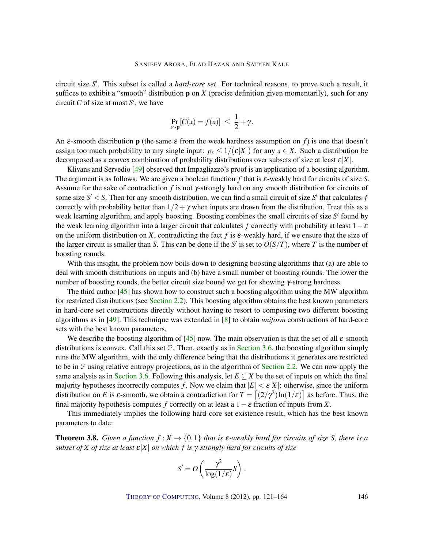<span id="page-25-0"></span>circuit size *S* 0 . This subset is called a *hard-core set*. For technical reasons, to prove such a result, it suffices to exhibit a "smooth" distribution p on *X* (precise definition given momentarily), such for any circuit  $C$  of size at most  $S'$ , we have

$$
\Pr_{x \sim \mathbf{p}}[C(x) = f(x)] \leq \frac{1}{2} + \gamma.
$$

An  $\varepsilon$ -smooth distribution **p** (the same  $\varepsilon$  from the weak hardness assumption on *f*) is one that doesn't assign too much probability to any single input:  $p_x \leq 1/(\varepsilon|X|)$  for any  $x \in X$ . Such a distribution be decomposed as a convex combination of probability distributions over subsets of size at least ε|*X*|.

Klivans and Servedio [\[49\]](#page-40-4) observed that Impagliazzo's proof is an application of a boosting algorithm. The argument is as follows. We are given a boolean function  $f$  that is  $\varepsilon$ -weakly hard for circuits of size  $S$ . Assume for the sake of contradiction *f* is not γ-strongly hard on any smooth distribution for circuits of some size  $S' < S$ . Then for any smooth distribution, we can find a small circuit of size  $S'$  that calculates  $f$ correctly with probability better than  $1/2 + \gamma$  when inputs are drawn from the distribution. Treat this as a weak learning algorithm, and apply boosting. Boosting combines the small circuits of size S' found by the weak learning algorithm into a larger circuit that calculates *f* correctly with probability at least  $1-\varepsilon$ on the uniform distribution on *X*, contradicting the fact  $f$  is  $\varepsilon$ -weakly hard, if we ensure that the size of the larger circuit is smaller than *S*. This can be done if the  $S'$  is set to  $O(S/T)$ , where *T* is the number of boosting rounds.

With this insight, the problem now boils down to designing boosting algorithms that (a) are able to deal with smooth distributions on inputs and (b) have a small number of boosting rounds. The lower the number of boosting rounds, the better circuit size bound we get for showing γ-strong hardness.

The third author  $[45]$  has shown how to construct such a boosting algorithm using the MW algorithm for restricted distributions (see [Section](#page-8-0) [2.2\)](#page-8-0). This boosting algorithm obtains the best known parameters in hard-core set constructions directly without having to resort to composing two different boosting algorithms as in [\[49\]](#page-40-4). This technique was extended in [\[8\]](#page-37-0) to obtain *uniform* constructions of hard-core sets with the best known parameters.

We describe the boosting algorithm of  $[45]$  now. The main observation is that the set of all  $\varepsilon$ -smooth distributions is convex. Call this set P. Then, exactly as in [Section](#page-23-0) [3.6,](#page-23-0) the boosting algorithm simply runs the MW algorithm, with the only difference being that the distributions it generates are restricted to be in  $\mathcal P$  using relative entropy projections, as in the algorithm of [Section](#page-8-0) [2.2.](#page-8-0) We can now apply the same analysis as in [Section](#page-23-0) [3.6.](#page-23-0) Following this analysis, let  $E \subseteq X$  be the set of inputs on which the final majority hypotheses incorrectly computes *f*. Now we claim that  $|E| < \varepsilon |X|$ : otherwise, since the uniform distribution on *E* is  $\varepsilon$ -smooth, we obtain a contradiction for  $T = [(2/\gamma^2) \ln(1/\varepsilon)]$  as before. Thus, the final majority hypothesis computes *f* correctly on at least a  $1 - \varepsilon$  fraction of inputs from *X*.

This immediately implies the following hard-core set existence result, which has the best known parameters to date:

**Theorem 3.8.** *Given a function*  $f: X \to \{0,1\}$  *that is*  $\varepsilon$ *-weakly hard for circuits of size S, there is a subset of X of size at least* ε|*X*| *on which f is* γ*-strongly hard for circuits of size*

$$
S' = O\left(\frac{\gamma^2}{\log(1/\varepsilon)}S\right).
$$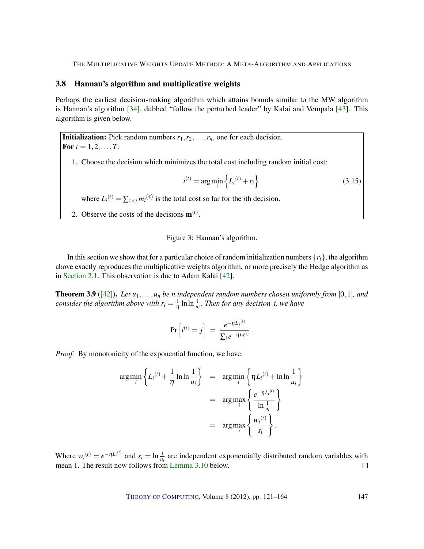#### <span id="page-26-1"></span><span id="page-26-0"></span>3.8 Hannan's algorithm and multiplicative weights

Perhaps the earliest decision-making algorithm which attains bounds similar to the MW algorithm is Hannan's algorithm [\[34\]](#page-39-6), dubbed "follow the perturbed leader" by Kalai and Vempala [\[43\]](#page-40-3). This algorithm is given below.

**Initialization:** Pick random numbers  $r_1, r_2, \ldots, r_n$ , one for each decision. For  $t = 1, 2, ..., T$ :

1. Choose the decision which minimizes the total cost including random initial cost:

$$
i^{(t)} = \arg\min_{i} \left\{ L_i^{(t)} + r_i \right\}
$$
 (3.15)

where  $L_i^{(t)} = \sum_{\tau \le t} m_i^{(\tau)}$  is the total cost so far for the *i*th decision.

2. Observe the costs of the decisions  $\mathbf{m}^{(t)}$ .

#### Figure 3: Hannan's algorithm.

In this section we show that for a particular choice of random initialization numbers  $\{r_i\}$ , the algorithm above exactly reproduces the multiplicative weights algorithm, or more precisely the Hedge algorithm as in [Section](#page-7-2) [2.1.](#page-7-2) This observation is due to Adam Kalai [\[42\]](#page-40-7).

**Theorem 3.9** ([\[42\]](#page-40-7)). Let  $u_1, \ldots, u_n$  be *n* independent random numbers chosen uniformly from [0,1], and *consider the algorithm above with*  $r_i = \frac{1}{n}$  $\frac{1}{\eta}$  ln ln  $\frac{1}{u_i}$ . Then for any decision j, we have

$$
\Pr\left[i^{(t)} = j\right] \ = \ \frac{e^{-\eta L_j^{(t)}}}{\sum_i e^{-\eta L_i^{(t)}}} \, .
$$

*Proof.* By monotonicity of the exponential function, we have:

$$
\arg\min_{i} \left\{ L_i^{(t)} + \frac{1}{\eta} \ln \ln \frac{1}{u_i} \right\} = \arg\min_{i} \left\{ \eta L_i^{(t)} + \ln \ln \frac{1}{u_i} \right\}
$$

$$
= \arg\max_{i} \left\{ \frac{e^{-\eta L_i^{(t)}}}{\ln \frac{1}{u_i}} \right\}
$$

$$
= \arg\max_{i} \left\{ \frac{w_i^{(t)}}{s_i} \right\}.
$$

Where  $w_i^{(t)} = e^{-\eta L_i^{(t)}}$  and  $s_i = \ln \frac{1}{u_i}$  are independent exponentially distributed random variables with mean 1. The result now follows from [Lemma](#page-27-0) [3.10](#page-27-0) below.  $\Box$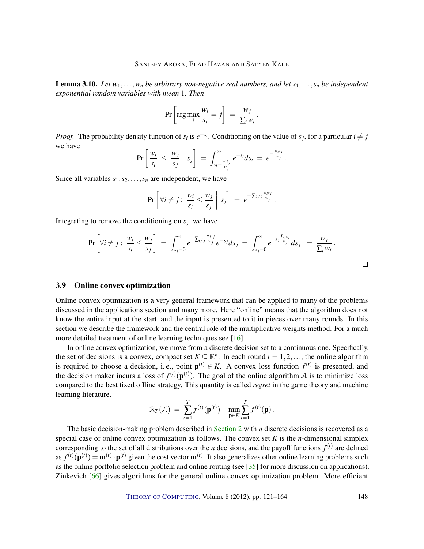<span id="page-27-1"></span><span id="page-27-0"></span>**Lemma 3.10.** *Let*  $w_1, \ldots, w_n$  *be arbitrary non-negative real numbers, and let*  $s_1, \ldots, s_n$  *be independent exponential random variables with mean* 1*. Then*

$$
\Pr\left[\arg\max_{i} \frac{w_i}{s_i} = j\right] = \frac{w_j}{\sum_i w_i}.
$$

*Proof.* The probability density function of  $s_i$  is  $e^{-s_i}$ . Conditioning on the value of  $s_j$ , for a particular  $i \neq j$ we have

$$
\Pr\left[\frac{w_i}{s_i} \leq \frac{w_j}{s_j} \middle| s_j\right] = \int_{s_i = \frac{w_i s_j}{w_j}}^{\infty} e^{-s_i} ds_i = e^{-\frac{w_i s_j}{w_j}}.
$$

Since all variables  $s_1, s_2, \ldots, s_n$  are independent, we have

$$
\Pr\left[\forall i\neq j:\; \frac{w_i}{s_i}\leq \frac{w_j}{s_j}\;\middle|\; s_j\right] \;=\; e^{-\sum_{i\neq j} \frac{w_i s_j}{w_j}}\,.
$$

Integrating to remove the conditioning on  $s_j$ , we have

$$
\Pr\left[\forall i\neq j:\; \frac{w_i}{s_i}\leq \frac{w_j}{s_j}\right] \;=\; \int_{s_j=0}^\infty e^{-\sum_{i\neq j}\frac{w_i s_j}{w_j}}e^{-s_j}ds_j\;=\; \int_{s_j=0}^\infty e^{-s_j\frac{\sum_i w_i}{w_j}}ds_j\;=\;\frac{w_j}{\sum_i w_i}\,.
$$

#### 3.9 Online convex optimization

Online convex optimization is a very general framework that can be applied to many of the problems discussed in the applications section and many more. Here "online" means that the algorithm does not know the entire input at the start, and the input is presented to it in pieces over many rounds. In this section we describe the framework and the central role of the multiplicative weights method. For a much more detailed treatment of online learning techniques see [\[16\]](#page-38-9).

In online convex optimization, we move from a discrete decision set to a continuous one. Specifically, the set of decisions is a convex, compact set  $K \subseteq \mathbb{R}^n$ . In each round  $t = 1, 2, \dots$ , the online algorithm is required to choose a decision, i.e., point  $p^{(t)} \in K$ . A convex loss function  $f^{(t)}$  is presented, and the decision maker incurs a loss of  $f^{(t)}(\mathbf{p}^{(t)})$ . The goal of the online algorithm A is to minimize loss compared to the best fixed offline strategy. This quantity is called *regret* in the game theory and machine learning literature.

$$
\mathcal{R}_T(\mathcal{A}) \ = \ \sum_{t=1}^T f^{(t)}(\mathbf{p}^{(t)}) - \min_{\mathbf{p} \in K} \sum_{t=1}^T f^{(t)}(\mathbf{p}) \, .
$$

The basic decision-making problem described in [Section](#page-5-0) [2](#page-5-0) with *n* discrete decisions is recovered as a special case of online convex optimization as follows. The convex set *K* is the *n*-dimensional simplex corresponding to the set of all distributions over the *n* decisions, and the payoff functions  $f^{(t)}$  are defined as  $f^{(t)}(\mathbf{p}^{(t)}) = \mathbf{m}^{(t)} \cdot \mathbf{p}^{(t)}$  given the cost vector  $\mathbf{m}^{(t)}$ . It also generalizes other online learning problems such as the online portfolio selection problem and online routing (see [\[35\]](#page-39-9) for more discussion on applications). Zinkevich [\[66\]](#page-42-4) gives algorithms for the general online convex optimization problem. More efficient

 $\Box$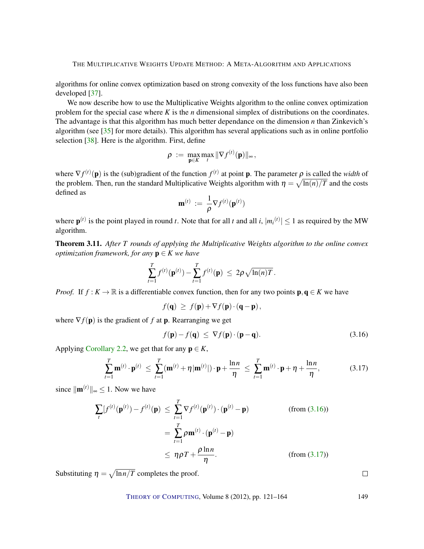<span id="page-28-2"></span>algorithms for online convex optimization based on strong convexity of the loss functions have also been developed [\[37\]](#page-40-8).

We now describe how to use the Multiplicative Weights algorithm to the online convex optimization problem for the special case where *K* is the *n* dimensional simplex of distributions on the coordinates. The advantage is that this algorithm has much better dependance on the dimension *n* than Zinkevich's algorithm (see [\[35\]](#page-39-9) for more details). This algorithm has several applications such as in online portfolio selection [\[38\]](#page-40-9). Here is the algorithm. First, define

$$
\rho := \max_{\mathbf{p} \in K} \max_{t} \|\nabla f^{(t)}(\mathbf{p})\|_{\infty},
$$

where  $\nabla f^{(t)}(\mathbf{p})$  is the (sub)gradient of the function  $f^{(t)}$  at point **p**. The parameter  $\rho$  is called the *width* of the problem. Then, run the standard Multiplicative Weights algorithm with  $\eta = \sqrt{\ln(n)/T}$  and the costs defined as

$$
\mathbf{m}^{(t)} := \frac{1}{\rho} \nabla f^{(t)}(\mathbf{p}^{(t)})
$$

where  $p^{(t)}$  is the point played in round *t*. Note that for all *t* and all *i*,  $|m_i^{(t)}| \le 1$  as required by the MW algorithm.

Theorem 3.11. *After T rounds of applying the Multiplicative Weights algorithm to the online convex optimization framework, for any*  $p \in K$  *we have* 

$$
\sum_{t=1}^T f^{(t)}(\mathbf{p}^{(t)}) - \sum_{t=1}^T f^{(t)}(\mathbf{p}) \ \leq \ 2\rho \sqrt{\ln(n)T} \, .
$$

*Proof.* If  $f : K \to \mathbb{R}$  is a differentiable convex function, then for any two points  $p, q \in K$  we have

$$
f(\mathbf{q}) \geq f(\mathbf{p}) + \nabla f(\mathbf{p}) \cdot (\mathbf{q} - \mathbf{p}),
$$

where  $\nabla f(\mathbf{p})$  is the gradient of *f* at **p**. Rearranging we get

<span id="page-28-0"></span>
$$
f(\mathbf{p}) - f(\mathbf{q}) \le \nabla f(\mathbf{p}) \cdot (\mathbf{p} - \mathbf{q}). \tag{3.16}
$$

Applying [Corollary](#page-7-0) [2.2,](#page-7-0) we get that for any  $p \in K$ ,

<span id="page-28-1"></span>
$$
\sum_{t=1}^{T} \mathbf{m}^{(t)} \cdot \mathbf{p}^{(t)} \leq \sum_{t=1}^{T} (\mathbf{m}^{(t)} + \eta |\mathbf{m}^{(t)}|) \cdot \mathbf{p} + \frac{\ln n}{\eta} \leq \sum_{t=1}^{T} \mathbf{m}^{(t)} \cdot \mathbf{p} + \eta + \frac{\ln n}{\eta},
$$
(3.17)

since  $\|\mathbf{m}^{(t)}\|_{\infty} \leq 1$ . Now we have

$$
\sum_{t} [f^{(t)}(\mathbf{p}^{(t)}) - f^{(t)}(\mathbf{p})] \leq \sum_{t=1}^{T} \nabla f^{(t)}(\mathbf{p}^{(t)}) \cdot (\mathbf{p}^{(t)} - \mathbf{p})
$$
 (from (3.16))  
\n
$$
= \sum_{t=1}^{T} \rho \mathbf{m}^{(t)} \cdot (\mathbf{p}^{(t)} - \mathbf{p})
$$
  
\n
$$
\leq \eta \rho T + \frac{\rho \ln n}{\eta}.
$$
 (from (3.17))

Substituting  $\eta = \sqrt{\ln n/T}$  completes the proof.

THEORY OF C[OMPUTING](http://dx.doi.org/10.4086/toc), Volume 8 (2012), pp. 121–164 149

 $\Box$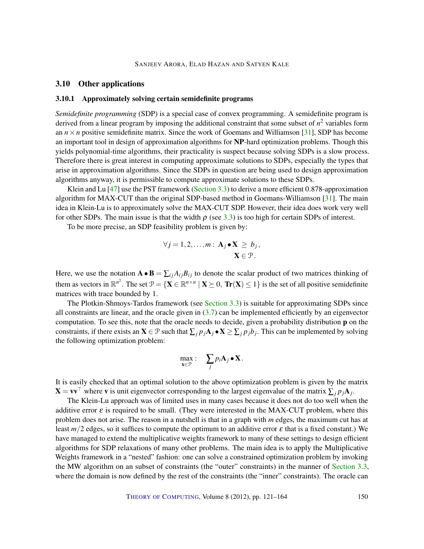#### <span id="page-29-0"></span>3.10 Other applications

#### 3.10.1 Approximately solving certain semidefinite programs

*Semidefinite programming* (SDP) is a special case of convex programming. A semidefinite program is derived from a linear program by imposing the additional constraint that some subset of *n* <sup>2</sup> variables form an  $n \times n$  positive semidefinite matrix. Since the work of Goemans and Williamson [\[31\]](#page-39-10), SDP has become an important tool in design of approximation algorithms for NP-hard optimization problems. Though this yields polynomial-time algorithms, their practicality is suspect because solving SDPs is a slow process. Therefore there is great interest in computing approximate solutions to SDPs, especially the types that arise in approximation algorithms. Since the SDPs in question are being used to design approximation algorithms anyway, it is permissible to compute approximate solutions to these SDPs.

Klein and Lu  $[47]$  use the PST framework [\(Section](#page-14-0) [3.3\)](#page-14-0) to derive a more efficient 0.878-approximation algorithm for MAX-CUT than the original SDP-based method in Goemans-Williamson [\[31\]](#page-39-10). The main idea in Klein-Lu is to approximately solve the MAX-CUT SDP. However, their idea does work very well for other SDPs. The main issue is that the width  $\rho$  (see [3.3\)](#page-14-0) is too high for certain SDPs of interest.

To be more precise, an SDP feasibility problem is given by:

$$
\forall j = 1, 2, \dots, m: \mathbf{A}_j \bullet \mathbf{X} \ge b_j, \mathbf{X} \in \mathcal{P}.
$$

Here, we use the notation  $\mathbf{A} \cdot \mathbf{B} = \sum_{i} A_{i} B_{i}$  to denote the scalar product of two matrices thinking of them as vectors in  $\mathbb{R}^{n^2}$ . The set  $\mathcal{P} = \{ \mathbf{X} \in \mathbb{R}^{n \times n} \mid \mathbf{X} \succeq 0, \text{ Tr}(\mathbf{X}) \leq 1 \}$  is the set of all positive semidefinite matrices with trace bounded by 1.

The Plotkin-Shmoys-Tardos framework (see [Section](#page-14-0) [3.3\)](#page-14-0) is suitable for approximating SDPs since all constraints are linear, and the oracle given in [\(3.7\)](#page-14-2) can be implemented efficiently by an eigenvector computation. To see this, note that the oracle needs to decide, given a probability distribution p on the constraints, if there exists an  $X \in \mathcal{P}$  such that  $\sum_j p_j A_j \bullet X \ge \sum_j p_j b_j$ . This can be implemented by solving the following optimization problem:

$$
\max_{\mathbf{x}\in\mathcal{P}}:\quad \sum_j p_i \mathbf{A}_j \bullet \mathbf{X}.
$$

It is easily checked that an optimal solution to the above optimization problem is given by the matrix  $X = vv^{\top}$  where v is unit eigenvector corresponding to the largest eigenvalue of the matrix  $\sum_j p_j A_j$ .

The Klein-Lu approach was of limited uses in many cases because it does not do too well when the additive error  $\varepsilon$  is required to be small. (They were interested in the MAX-CUT problem, where this problem does not arise. The reason in a nutshell is that in a graph with *m* edges, the maximum cut has at least  $m/2$  edges, so it suffices to compute the optimum to an additive error  $\varepsilon$  that is a fixed constant.) We have managed to extend the multiplicative weights framework to many of these settings to design efficient algorithms for SDP relaxations of many other problems. The main idea is to apply the Multiplicative Weights framework in a "nested" fashion: one can solve a constrained optimization problem by invoking the MW algorithm on an subset of constraints (the "outer" constraints) in the manner of [Section](#page-14-0) [3.3,](#page-14-0) where the domain is now defined by the rest of the constraints (the "inner" constraints). The oracle can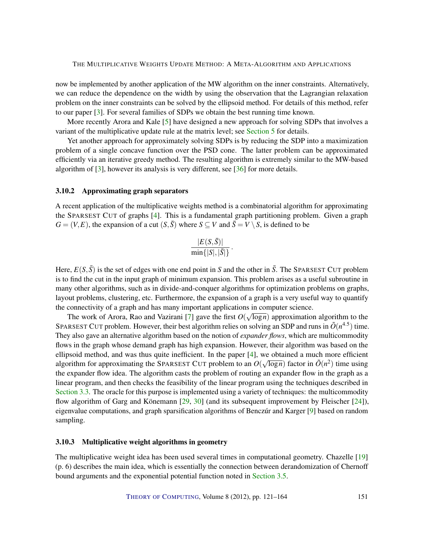<span id="page-30-0"></span>now be implemented by another application of the MW algorithm on the inner constraints. Alternatively, we can reduce the dependence on the width by using the observation that the Lagrangian relaxation problem on the inner constraints can be solved by the ellipsoid method. For details of this method, refer to our paper [\[3\]](#page-37-1). For several families of SDPs we obtain the best running time known.

More recently Arora and Kale [\[5\]](#page-37-2) have designed a new approach for solving SDPs that involves a variant of the multiplicative update rule at the matrix level; see [Section](#page-34-0) [5](#page-34-0) for details.

Yet another approach for approximately solving SDPs is by reducing the SDP into a maximization problem of a single concave function over the PSD cone. The latter problem can be approximated efficiently via an iterative greedy method. The resulting algorithm is extremely similar to the MW-based algorithm of [\[3\]](#page-37-1), however its analysis is very different, see [\[36\]](#page-39-11) for more details.

#### 3.10.2 Approximating graph separators

A recent application of the multiplicative weights method is a combinatorial algorithm for approximating the SPARSEST CUT of graphs [\[4\]](#page-37-3). This is a fundamental graph partitioning problem. Given a graph *G* = (*V*,*E*), the expansion of a cut (*S*, *Š*) where *S* ⊆ *V* and  $\overline{S}$  = *V* \ *S*, is defined to be

$$
\frac{|E(S,\bar{S})|}{\min\{|S|,|\bar{S}|\}}.
$$

Here,  $E(S,\overline{S})$  is the set of edges with one end point in *S* and the other in  $\overline{S}$ . The SPARSEST CUT problem is to find the cut in the input graph of minimum expansion. This problem arises as a useful subroutine in many other algorithms, such as in divide-and-conquer algorithms for optimization problems on graphs, layout problems, clustering, etc. Furthermore, the expansion of a graph is a very useful way to quantify the connectivity of a graph and has many important applications in computer science. اد.<br>⁄

The work of Arora, Rao and Vazirani [\[7\]](#page-37-4) gave the first *O*( log*n*) approximation algorithm to the SPARSEST CUT problem. However, their best algorithm relies on solving an SDP and runs in  $\tilde{O}(n^{4.5})$  time. They also gave an alternative algorithm based on the notion of *expander flows*, which are multicommodity flows in the graph whose demand graph has high expansion. However, their algorithm was based on the ellipsoid method, and was thus quite inefficient. In the paper [\[4\]](#page-37-3), we obtained a much more efficient algorithm for approximating the SPARSEST CUT problem to an  $O(\sqrt{\log n})$  factor in  $\tilde{O}(n^2)$  time using the expander flow idea. The algorithm casts the problem of routing an expander flow in the graph as a linear program, and then checks the feasibility of the linear program using the techniques described in [Section](#page-14-0) [3.3.](#page-14-0) The oracle for this purpose is implemented using a variety of techniques: the multicommodity flow algorithm of Garg and Könemann  $[29, 30]$  $[29, 30]$  $[29, 30]$  $[29, 30]$  (and its subsequent improvement by Fleischer  $[24]$ ), eigenvalue computations, and graph sparsification algorithms of Benczur and Karger [[9\]](#page-37-5) based on random sampling.

#### 3.10.3 Multiplicative weight algorithms in geometry

The multiplicative weight idea has been used several times in computational geometry. Chazelle [\[19\]](#page-38-10) (p. 6) describes the main idea, which is essentially the connection between derandomization of Chernoff bound arguments and the exponential potential function noted in [Section](#page-21-0) [3.5.](#page-21-0)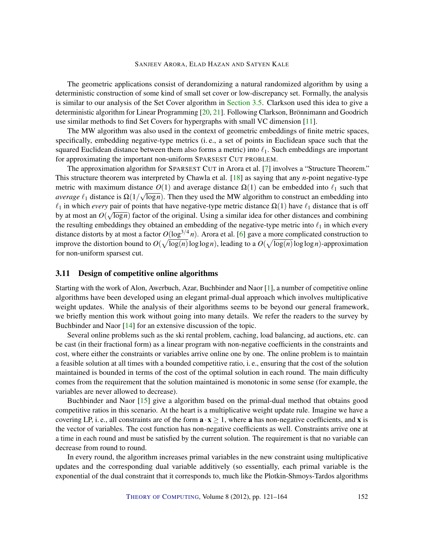<span id="page-31-0"></span>The geometric applications consist of derandomizing a natural randomized algorithm by using a deterministic construction of some kind of small set cover or low-discrepancy set. Formally, the analysis is similar to our analysis of the Set Cover algorithm in [Section](#page-21-0) [3.5.](#page-21-0) Clarkson used this idea to give a deterministic algorithm for Linear Programming [\[20,](#page-38-3) [21\]](#page-38-4). Following Clarkson, Brönnimann and Goodrich use similar methods to find Set Covers for hypergraphs with small VC dimension [\[11\]](#page-38-5).

The MW algorithm was also used in the context of geometric embeddings of finite metric spaces, specifically, embedding negative-type metrics (i. e., a set of points in Euclidean space such that the squared Euclidean distance between them also forms a metric) into  $\ell_1$ . Such embeddings are important for approximating the important non-uniform SPARSEST CUT PROBLEM.

The approximation algorithm for SPARSEST CUT in Arora et al. [\[7\]](#page-37-4) involves a "Structure Theorem." This structure theorem was interpreted by Chawla et al. [\[18\]](#page-38-11) as saying that any *n*-point negative-type metric with maximum distance  $O(1)$  and average distance  $\Omega(1)$  can be embedded into  $\ell_1$  such that *average*  $\ell_1$  distance is  $\Omega(1/\sqrt{\log n})$ . Then they used the MW algorithm to construct an embedding into  $\ell_1$  in which *every* pair of points that have negative-type metric distance  $\Omega(1)$  have  $\ell_1$  distance that is off by at most an  $O(\sqrt{\log n})$  factor of the original. Using a similar idea for other distances and combining the resulting embeddings they obtained an embedding of the negative-type metric into  $\ell_1$  in which every distance distorts by at most a factor  $O(\log^{3/4} n)$ . Arora et al. [\[6\]](#page-37-6) gave a more complicated construction to improve the distortion bound to  $O(\sqrt{\log(n)}\log\log n)$ , leading to a  $O(\sqrt{\log(n)}\log\log n)$ -approximation for non-uniform sparsest cut.

#### 3.11 Design of competitive online algorithms

Starting with the work of Alon, Awerbuch, Azar, Buchbinder and Naor [\[1\]](#page-37-7), a number of competitive online algorithms have been developed using an elegant primal-dual approach which involves multiplicative weight updates. While the analysis of their algorithms seems to be beyond our general framework, we briefly mention this work without going into many details. We refer the readers to the survey by Buchbinder and Naor [\[14\]](#page-38-12) for an extensive discussion of the topic.

Several online problems such as the ski rental problem, caching, load balancing, ad auctions, etc. can be cast (in their fractional form) as a linear program with non-negative coefficients in the constraints and cost, where either the constraints or variables arrive online one by one. The online problem is to maintain a feasible solution at all times with a bounded competitive ratio, i. e., ensuring that the cost of the solution maintained is bounded in terms of the cost of the optimal solution in each round. The main difficulty comes from the requirement that the solution maintained is monotonic in some sense (for example, the variables are never allowed to decrease).

Buchbinder and Naor [\[15\]](#page-38-13) give a algorithm based on the primal-dual method that obtains good competitive ratios in this scenario. At the heart is a multiplicative weight update rule. Imagine we have a covering LP, i. e., all constraints are of the form  $\mathbf{a} \cdot \mathbf{x} \geq 1$ , where **a** has non-negative coefficients, and **x** is the vector of variables. The cost function has non-negative coefficients as well. Constraints arrive one at a time in each round and must be satisfied by the current solution. The requirement is that no variable can decrease from round to round.

In every round, the algorithm increases primal variables in the new constraint using multiplicative updates and the corresponding dual variable additively (so essentially, each primal variable is the exponential of the dual constraint that it corresponds to, much like the Plotkin-Shmoys-Tardos algorithms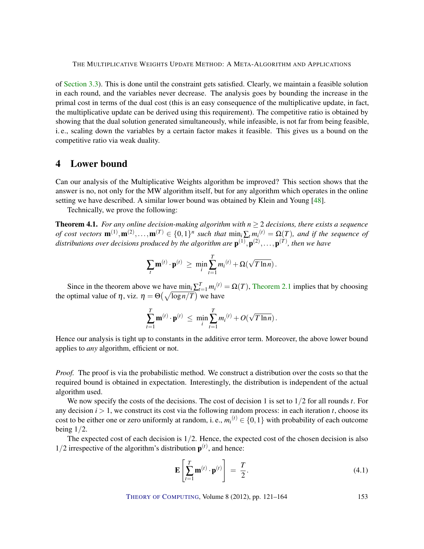<span id="page-32-2"></span>of [Section](#page-14-0) [3.3\)](#page-14-0). This is done until the constraint gets satisfied. Clearly, we maintain a feasible solution in each round, and the variables never decrease. The analysis goes by bounding the increase in the primal cost in terms of the dual cost (this is an easy consequence of the multiplicative update, in fact, the multiplicative update can be derived using this requirement). The competitive ratio is obtained by showing that the dual solution generated simultaneously, while infeasible, is not far from being feasible, i. e., scaling down the variables by a certain factor makes it feasible. This gives us a bound on the competitive ratio via weak duality.

## <span id="page-32-0"></span>4 Lower bound

Can our analysis of the Multiplicative Weights algorithm be improved? This section shows that the answer is no, not only for the MW algorithm itself, but for any algorithm which operates in the online setting we have described. A similar lower bound was obtained by Klein and Young [\[48\]](#page-40-11).

Technically, we prove the following:

**Theorem 4.1.** *For any online decision-making algorithm with*  $n \geq 2$  *decisions, there exists a sequence of cost vectors*  $\mathbf{m}^{(1)}, \mathbf{m}^{(2)}, \ldots, \mathbf{m}^{(T)} \in \{0,1\}^n$  such that  $\min_i \sum_t m_i^{(t)} = \Omega(T)$ , and if the sequence of distributions over decisions produced by the algorithm are  $\mathbf{p}^{(1)},\mathbf{p}^{(2)},\ldots,\mathbf{p}^{(T)},$  then we have

$$
\sum_{t} \mathbf{m}^{(t)} \cdot \mathbf{p}^{(t)} \ \geq \ \min_{i} \sum_{t=1}^{T} m_i^{(t)} + \Omega(\sqrt{T \ln n}).
$$

Since in the theorem above we have  $\min_i \sum_{t=1}^T m_i^{(t)} = \Omega(T)$ , [Theorem](#page-5-1) [2.1](#page-5-1) implies that by choosing the optimal value of  $\eta$ , viz.  $\eta = \Theta(\sqrt{\log n/T})$  we have

$$
\sum_{t=1}^T \mathbf{m}^{(t)} \cdot \mathbf{p}^{(t)} \ \leq \ \min_i \sum_{t=1}^T m_i^{(t)} + O(\sqrt{T \ln n}).
$$

Hence our analysis is tight up to constants in the additive error term. Moreover, the above lower bound applies to *any* algorithm, efficient or not.

*Proof.* The proof is via the probabilistic method. We construct a distribution over the costs so that the required bound is obtained in expectation. Interestingly, the distribution is independent of the actual algorithm used.

We now specify the costs of the decisions. The cost of decision 1 is set to 1/2 for all rounds *t*. For any decision  $i > 1$ , we construct its cost via the following random process: in each iteration  $t$ , choose its cost to be either one or zero uniformly at random, i. e.,  $m_i^{(t)} \in \{0,1\}$  with probability of each outcome being  $1/2$ .

The expected cost of each decision is 1/2. Hence, the expected cost of the chosen decision is also  $1/2$  irrespective of the algorithm's distribution  $\mathbf{p}^{(t)}$ , and hence:

<span id="page-32-1"></span>
$$
\mathbf{E}\left[\sum_{t=1}^{T}\mathbf{m}^{(t)}\cdot\mathbf{p}^{(t)}\right] = \frac{T}{2}.
$$
\n(4.1)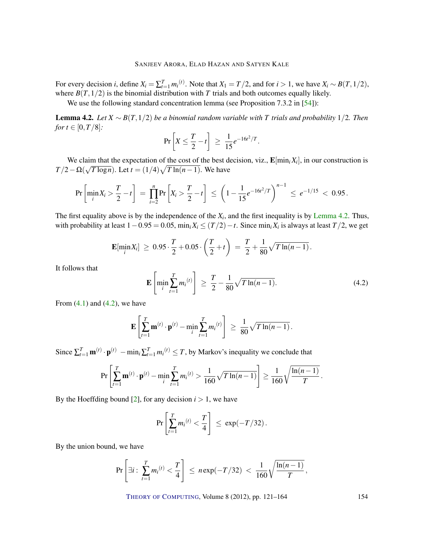<span id="page-33-2"></span>For every decision *i*, define  $X_i = \sum_{t=1}^T m_i^{(t)}$ . Note that  $X_1 = T/2$ , and for  $i > 1$ , we have  $X_i \sim B(T, 1/2)$ , where  $B(T,1/2)$  is the binomial distribution with *T* trials and both outcomes equally likely.

We use the following standard concentration lemma (see Proposition 7.3.2 in [\[54\]](#page-41-10)):

<span id="page-33-0"></span>Lemma 4.2. *Let X* ∼ *B*(*T*,1/2) *be a binomial random variable with T trials and probability* 1/2*. Then for*  $t \in [0, T/8]$ *:* 

$$
\Pr\left[X \leq \frac{T}{2} - t\right] \geq \frac{1}{15}e^{-16t^2/T}.
$$

We claim that the expectation of the cost of the best decision, viz.,  $\mathbf{E}[\min_i X_i]$ , in our construction is *T*/2−Ω( √  $\overline{T \log n}$ ). Let  $t = (1/4)\sqrt{T \ln(n-1)}$ . We have

$$
\Pr\left[\min_i X_i > \frac{T}{2} - t\right] = \prod_{i=2}^n \Pr\left[X_i > \frac{T}{2} - t\right] \le \left(1 - \frac{1}{15}e^{-16t^2/T}\right)^{n-1} \le e^{-1/15} < 0.95.
$$

The first equality above is by the independence of the  $X_i$ , and the first inequality is by [Lemma](#page-33-0) [4.2.](#page-33-0) Thus, with probability at least  $1-0.95 = 0.05$ ,  $\min_i X_i \le (T/2)-t$ . Since  $\min_i X_i$  is always at least  $T/2$ , we get

$$
\mathbf{E}[\min_i X_i] \geq 0.95 \cdot \frac{T}{2} + 0.05 \cdot \left(\frac{T}{2} + t\right) = \frac{T}{2} + \frac{1}{80} \sqrt{T \ln(n-1)}.
$$

It follows that

<span id="page-33-1"></span>
$$
\mathbf{E}\left[\min_{i}\sum_{t=1}^{T}m_{i}^{(t)}\right] \geq \frac{T}{2} - \frac{1}{80}\sqrt{T\ln(n-1)}.
$$
 (4.2)

From  $(4.1)$  and  $(4.2)$ , we have

$$
\mathbf{E}\left[\sum_{t=1}^T \mathbf{m}^{(t)} \cdot \mathbf{p}^{(t)} - \min_i \sum_{t=1}^T m_i^{(t)}\right] \ge \frac{1}{80} \sqrt{T \ln(n-1)}.
$$

Since  $\sum_{t=1}^T \mathbf{m}^{(t)} \cdot \mathbf{p}^{(t)} - \min_i \sum_{t=1}^T m_i^{(t)} \leq T$ , by Markov's inequality we conclude that

$$
\Pr\left[\sum_{t=1}^T \mathbf{m}^{(t)} \cdot \mathbf{p}^{(t)} - \min_i \sum_{t=1}^T m_i^{(t)} > \frac{1}{160} \sqrt{T \ln(n-1)} \right] \ge \frac{1}{160} \sqrt{\frac{\ln(n-1)}{T}}.
$$

By the Hoeffding bound  $[2]$ , for any decision  $i > 1$ , we have

$$
\Pr\left[\sum_{t=1}^T m_i^{(t)} < \frac{T}{4}\right] \leq \exp(-T/32).
$$

By the union bound, we have

$$
\Pr\left[\exists i:\ \sum_{t=1}^T m_i^{(t)} < \frac{T}{4}\right] \ \leq \ n\exp(-T/32) \ < \ \frac{1}{160}\sqrt{\frac{\ln(n-1)}{T}},
$$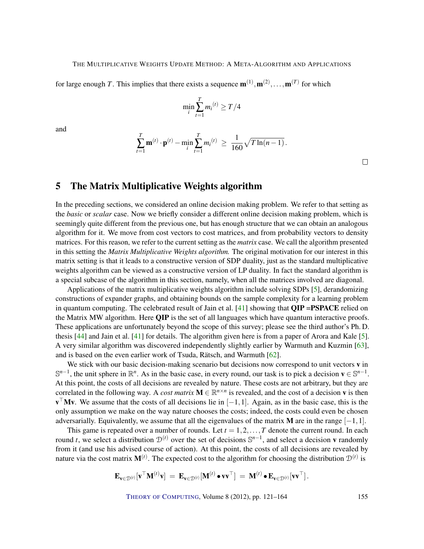<span id="page-34-1"></span>for large enough *T*. This implies that there exists a sequence  $m^{(1)}, m^{(2)}, \ldots, m^{(T)}$  for which

$$
\min_i \sum_{t=1}^T m_i^{(t)} \ge T/4
$$

and

$$
\sum_{t=1}^T \mathbf{m}^{(t)} \cdot \mathbf{p}^{(t)} - \min_i \sum_{t=1}^T m_i^{(t)} \ \geq \ \frac{1}{160} \sqrt{T \ln(n-1)} \, .
$$

 $\Box$ 

## <span id="page-34-0"></span>5 The Matrix Multiplicative Weights algorithm

In the preceding sections, we considered an online decision making problem. We refer to that setting as the *basic* or *scalar* case. Now we briefly consider a different online decision making problem, which is seemingly quite different from the previous one, but has enough structure that we can obtain an analogous algorithm for it. We move from cost vectors to cost matrices, and from probability vectors to density matrices. For this reason, we refer to the current setting as the *matrix* case. We call the algorithm presented in this setting the *Matrix Multiplicative Weights algorithm.* The original motivation for our interest in this matrix setting is that it leads to a constructive version of SDP duality, just as the standard multiplicative weights algorithm can be viewed as a constructive version of LP duality. In fact the standard algorithm is a special subcase of the algorithm in this section, namely, when all the matrices involved are diagonal.

Applications of the matrix multiplicative weights algorithm include solving SDPs [\[5\]](#page-37-2), derandomizing constructions of expander graphs, and obtaining bounds on the sample complexity for a learning problem in quantum computing. The celebrated result of Jain et al.  $[41]$  showing that  $QIP = PSPACE$  relied on the Matrix MW algorithm. Here **QIP** is the set of all languages which have quantum interactive proofs. These applications are unfortunately beyond the scope of this survey; please see the third author's Ph. D. thesis [\[44\]](#page-40-13) and Jain et al. [\[41\]](#page-40-12) for details. The algorithm given here is from a paper of Arora and Kale [\[5\]](#page-37-2). A very similar algorithm was discovered independently slightly earlier by Warmuth and Kuzmin [\[63\]](#page-41-11), and is based on the even earlier work of Tsuda, Rätsch, and Warmuth  $[62]$  $[62]$ .

We stick with our basic decision-making scenario but decisions now correspond to unit vectors  $\bf{v}$  in  $\mathbb{S}^{n-1}$ , the unit sphere in  $\mathbb{R}^n$ . As in the basic case, in every round, our task is to pick a decision  $\mathbf{v} \in \mathbb{S}^{n-1}$ . At this point, the costs of all decisions are revealed by nature. These costs are not arbitrary, but they are correlated in the following way. A *cost matrix*  $M \in \mathbb{R}^{n \times n}$  is revealed, and the cost of a decision **v** is then  $\mathbf{v}^\top \mathbf{M} \mathbf{v}$ . We assume that the costs of all decisions lie in [-1,1]. Again, as in the basic case, this is the only assumption we make on the way nature chooses the costs; indeed, the costs could even be chosen adversarially. Equivalently, we assume that all the eigenvalues of the matrix **M** are in the range  $[-1,1]$ .

This game is repeated over a number of rounds. Let  $t = 1, 2, ..., T$  denote the current round. In each round *t*, we select a distribution  $\mathcal{D}^{(t)}$  over the set of decisions  $\mathbb{S}^{n-1}$ , and select a decision v randomly from it (and use his advised course of action). At this point, the costs of all decisions are revealed by nature via the cost matrix  $M^{(t)}$ . The expected cost to the algorithm for choosing the distribution  $\mathcal{D}^{(t)}$  is

$$
\mathbf{E}_{\mathbf{v}\in\mathcal{D}^{(t)}}[\mathbf{v}^\top\mathbf{M}^{(t)}\mathbf{v}] = \mathbf{E}_{\mathbf{v}\in\mathcal{D}^{(t)}}[\mathbf{M}^{(t)}\bullet\mathbf{v}\mathbf{v}^\top] = \mathbf{M}^{(t)}\bullet\mathbf{E}_{\mathbf{v}\in\mathcal{D}^{(t)}}[\mathbf{v}\mathbf{v}^\top].
$$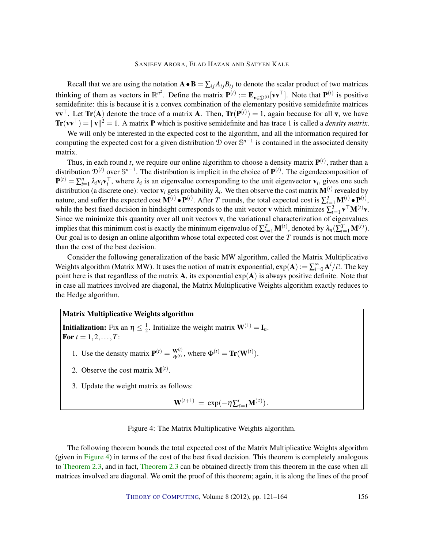Recall that we are using the notation  $\mathbf{A} \cdot \mathbf{B} = \sum_{i} A_{i} B_{i}$  to denote the scalar product of two matrices thinking of them as vectors in  $\mathbb{R}^{n^2}$ . Define the matrix  $\mathbf{P}^{(t)} := \mathbf{E}_{\mathbf{v} \in \mathcal{D}^{(t)}}[\mathbf{v}\mathbf{v}^\top]$ . Note that  $\mathbf{P}^{(t)}$  is positive semidefinite: this is because it is a convex combination of the elementary positive semidefinite matrices  $vv^{\top}$ . Let  $Tr(A)$  denote the trace of a matrix A. Then,  $Tr(P^{(t)}) = 1$ , again because for all v, we have  $\text{Tr}(\mathbf{v}\mathbf{v}^{\top}) = ||\mathbf{v}||^2 = 1$ . A matrix **P** which is positive semidefinite and has trace 1 is called a *density matrix*.

We will only be interested in the expected cost to the algorithm, and all the information required for computing the expected cost for a given distribution D over S *n*−1 is contained in the associated density matrix.

Thus, in each round *t*, we require our online algorithm to choose a density matrix  $P<sup>(t)</sup>$ , rather than a distribution  $\mathcal{D}^{(t)}$  over  $\mathbb{S}^{n-1}$ . The distribution is implicit in the choice of  $\mathbf{P}^{(t)}$ . The eigendecomposition of  $P^{(t)} = \sum_{i=1}^{n} \lambda_i v_i v_i^{\top}$ , where  $\lambda_i$  is an eigenvalue corresponding to the unit eigenvector  $v_i$ , gives one such distribution (a discrete one): vector  $v_i$  gets probability  $\lambda_i$ . We then observe the cost matrix  $\mathbf{M}^{(t)}$  revealed by nature, and suffer the expected cost  $\mathbf{M}^{(t)} \bullet \mathbf{P}^{(t)}$ . After *T* rounds, the total expected cost is  $\sum_{t=1}^{T} \mathbf{M}^{(t)} \bullet \mathbf{P}^{(t)}$ , while the best fixed decision in hindsight corresponds to the unit vector v which minimizes  $\sum_{t=1}^{T} \mathbf{v}^\top \mathbf{M}^{(t)} \mathbf{v}$ . Since we minimize this quantity over all unit vectors v, the variational characterization of eigenvalues implies that this minimum cost is exactly the minimum eigenvalue of  $\sum_{t=1}^{T} \mathbf{M}^{(t)}$ , denoted by  $\lambda_n(\sum_{t=1}^{T} \mathbf{M}^{(t)})$ . Our goal is to design an online algorithm whose total expected cost over the *T* rounds is not much more than the cost of the best decision.

Consider the following generalization of the basic MW algorithm, called the Matrix Multiplicative Weights algorithm (Matrix MW). It uses the notion of matrix exponential,  $exp(A) := \sum_{i=0}^{\infty} A^i / i!$ . The key point here is that regardless of the matrix  $\bf{A}$ , its exponential  $\exp(\bf{A})$  is always positive definite. Note that in case all matrices involved are diagonal, the Matrix Multiplicative Weights algorithm exactly reduces to the Hedge algorithm.

#### Matrix Multiplicative Weights algorithm

**Initialization:** Fix an  $\eta \leq \frac{1}{2}$  $\frac{1}{2}$ . Initialize the weight matrix  $\mathbf{W}^{(1)} = \mathbf{I}_n$ . For  $t = 1, 2, ..., T$ :

- 1. Use the density matrix  $\mathbf{P}^{(t)} = \frac{\mathbf{W}^{(t)}}{\Phi^{(t)}}$  $\frac{\mathbf{W}^{(t)}}{\mathbf{\Phi}^{(t)}}$ , where  $\mathbf{\Phi}^{(t)} = \mathbf{Tr}(\mathbf{W}^{(t)})$ .
- 2. Observe the cost matrix  $M^{(t)}$ .
- 3. Update the weight matrix as follows:

<span id="page-35-0"></span>
$$
\mathbf{W}^{(t+1)} \ = \ \exp(-\eta \sum_{\tau=1}^t \mathbf{M}^{(\tau)}) \, .
$$

Figure 4: The Matrix Multiplicative Weights algorithm.

The following theorem bounds the total expected cost of the Matrix Multiplicative Weights algorithm (given in [Figure](#page-35-0) [4\)](#page-35-0) in terms of the cost of the best fixed decision. This theorem is completely analogous to [Theorem](#page-8-1) [2.3,](#page-8-1) and in fact, [Theorem](#page-8-1) [2.3](#page-8-1) can be obtained directly from this theorem in the case when all matrices involved are diagonal. We omit the proof of this theorem; again, it is along the lines of the proof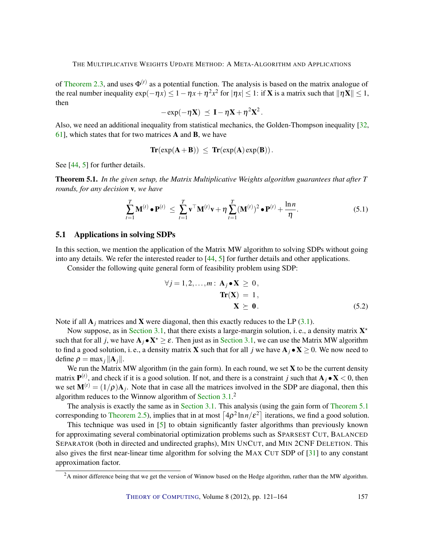<span id="page-36-1"></span>of [Theorem](#page-8-1) [2.3,](#page-8-1) and uses  $\Phi^{(t)}$  as a potential function. The analysis is based on the matrix analogue of the real number inequality  $\exp(-\eta x) \leq 1-\eta x + \eta^2 x^2$  for  $|\eta x| \leq 1$ : if **X** is a matrix such that  $\|\eta \mathbf{X}\| \leq 1,$ then

$$
-\exp(-\eta \mathbf{X}) \preceq \mathbf{I} - \eta \mathbf{X} + \eta^2 \mathbf{X}^2.
$$

Also, we need an additional inequality from statistical mechanics, the Golden-Thompson inequality [\[32,](#page-39-12) [61\]](#page-41-13), which states that for two matrices A and B, we have

$$
\mathbf{Tr}(\exp(\mathbf{A} + \mathbf{B})) \leq \mathbf{Tr}(\exp(\mathbf{A})\exp(\mathbf{B})).
$$

See [\[44,](#page-40-13) [5\]](#page-37-2) for further details.

<span id="page-36-0"></span>Theorem 5.1. *In the given setup, the Matrix Multiplicative Weights algorithm guarantees that after T rounds, for any decision* v*, we have*

$$
\sum_{t=1}^{T} \mathbf{M}^{(t)} \bullet \mathbf{P}^{(t)} \leq \sum_{t=1}^{T} \mathbf{v}^{\top} \mathbf{M}^{(t)} \mathbf{v} + \eta \sum_{t=1}^{T} (\mathbf{M}^{(t)})^2 \bullet \mathbf{P}^{(t)} + \frac{\ln n}{\eta}.
$$
 (5.1)

#### 5.1 Applications in solving SDPs

In this section, we mention the application of the Matrix MW algorithm to solving SDPs without going into any details. We refer the interested reader to [\[44,](#page-40-13) [5\]](#page-37-2) for further details and other applications.

Consider the following quite general form of feasibility problem using SDP:

$$
\forall j = 1, 2, ..., m: \mathbf{A}_j \bullet \mathbf{X} \ge 0,
$$
  
\n
$$
\mathbf{Tr}(\mathbf{X}) = 1,
$$
  
\n
$$
\mathbf{X} \succeq \mathbf{0}.
$$
 (5.2)

Note if all  $\mathbf{A}_i$  matrices and **X** were diagonal, then this exactly reduces to the LP [\(3.1\)](#page-11-1).

Now suppose, as in [Section](#page-11-2) [3.1,](#page-11-2) that there exists a large-margin solution, i.e., a density matrix  $X^*$ such that for all *j*, we have  $A_j \bullet X^* \ge \varepsilon$ . Then just as in [Section](#page-11-2) [3.1,](#page-11-2) we can use the Matrix MW algorithm to find a good solution, i. e., a density matrix **X** such that for all *j* we have  $A_j \bullet X \ge 0$ . We now need to define  $\rho = \max_i ||A_i||$ .

We run the Matrix MW algorithm (in the gain form). In each round, we set  $X$  to be the current density matrix  $P^{(t)}$ , and check if it is a good solution. If not, and there is a constraint *j* such that  $A_j \bullet X < 0$ , then we set  $M^{(t)} = (1/\rho)A_j$ . Note that in case all the matrices involved in the SDP are diagonal, then this algorithm reduces to the Winnow algorithm of [Section](#page-11-2) [3.1.](#page-11-2)<sup>2</sup>

The analysis is exactly the same as in [Section](#page-11-2) [3.1.](#page-11-2) This analysis (using the gain form of [Theorem](#page-36-0) [5.1](#page-36-0)) corresponding to [Theorem](#page-10-2) [2.5\)](#page-10-2), implies that in at most  $\left[4\rho^2\ln n/\varepsilon^2\right]$  iterations, we find a good solution.

This technique was used in [\[5\]](#page-37-2) to obtain significantly faster algorithms than previously known for approximating several combinatorial optimization problems such as SPARSEST CUT, BALANCED SEPARATOR (both in directed and undirected graphs), MIN UNCUT, and MIN 2CNF DELETION. This also gives the first near-linear time algorithm for solving the MAX CUT SDP of [\[31\]](#page-39-10) to any constant approximation factor.

 $2A$  minor difference being that we get the version of Winnow based on the Hedge algorithm, rather than the MW algorithm.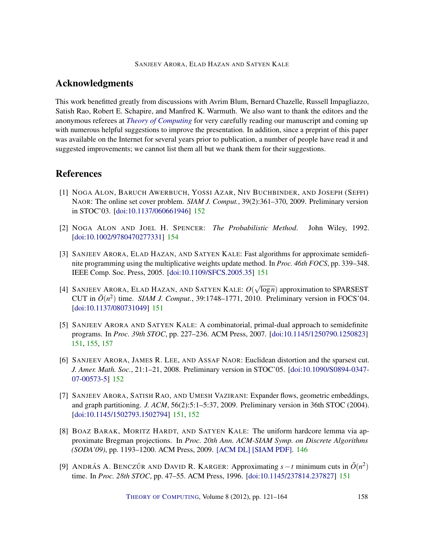## Acknowledgments

This work benefitted greatly from discussions with Avrim Blum, Bernard Chazelle, Russell Impagliazzo, Satish Rao, Robert E. Schapire, and Manfred K. Warmuth. We also want to thank the editors and the anonymous referees at *[Theory of Computing](http://dx.doi.org/10.4086/toc)* for very carefully reading our manuscript and coming up with numerous helpful suggestions to improve the presentation. In addition, since a preprint of this paper was available on the Internet for several years prior to publication, a number of people have read it and suggested improvements; we cannot list them all but we thank them for their suggestions.

## References

- <span id="page-37-7"></span>[1] NOGA ALON, BARUCH AWERBUCH, YOSSI AZAR, NIV BUCHBINDER, AND JOSEPH (SEFFI) NAOR: The online set cover problem. *SIAM J. Comput.*, 39(2):361–370, 2009. Preliminary version in STOC'03. [\[doi:10.1137/060661946\]](http://dx.doi.org/10.1137/060661946) [152](#page-31-0)
- <span id="page-37-8"></span>[2] NOGA ALON AND JOEL H. SPENCER: *The Probabilistic Method*. John Wiley, 1992. [\[doi:10.1002/9780470277331\]](http://dx.doi.org/10.1002/9780470277331) [154](#page-33-2)
- <span id="page-37-1"></span>[3] SANJEEV ARORA, ELAD HAZAN, AND SATYEN KALE: Fast algorithms for approximate semidefinite programming using the multiplicative weights update method. In *Proc. 46th FOCS*, pp. 339–348. IEEE Comp. Soc. Press, 2005. [\[doi:10.1109/SFCS.2005.35\]](http://dx.doi.org/10.1109/SFCS.2005.35) [151](#page-30-0)
- <span id="page-37-3"></span>[4] SANJEEV ARORA, ELAD HAZAN, AND SATYEN KALE: *O*( √ log*n*) approximation to SPARSEST CUT in  $\tilde{O}(n^2)$  time. *SIAM J. Comput.*, 39:1748–1771, 2010. Preliminary version in FOCS'04. [\[doi:10.1137/080731049\]](http://dx.doi.org/10.1137/080731049) [151](#page-30-0)
- <span id="page-37-2"></span>[5] SANJEEV ARORA AND SATYEN KALE: A combinatorial, primal-dual approach to semidefinite programs. In *Proc. 39th STOC*, pp. 227–236. ACM Press, 2007. [\[doi:10.1145/1250790.1250823\]](http://dx.doi.org/10.1145/1250790.1250823) [151,](#page-30-0) [155,](#page-34-1) [157](#page-36-1)
- <span id="page-37-6"></span>[6] SANJEEV ARORA, JAMES R. LEE, AND ASSAF NAOR: Euclidean distortion and the sparsest cut. *J. Amer. Math. Soc.*, 21:1–21, 2008. Preliminary version in STOC'05. [\[doi:10.1090/S0894-0347-](http://dx.doi.org/10.1090/S0894-0347-07-00573-5) [07-00573-5\]](http://dx.doi.org/10.1090/S0894-0347-07-00573-5) [152](#page-31-0)
- <span id="page-37-4"></span>[7] SANJEEV ARORA, SATISH RAO, AND UMESH VAZIRANI: Expander flows, geometric embeddings, and graph partitioning. *J. ACM*, 56(2):5:1–5:37, 2009. Preliminary version in 36th STOC (2004). [\[doi:10.1145/1502793.1502794\]](http://dx.doi.org/10.1145/1502793.1502794) [151,](#page-30-0) [152](#page-31-0)
- <span id="page-37-0"></span>[8] BOAZ BARAK, MORITZ HARDT, AND SATYEN KALE: The uniform hardcore lemma via approximate Bregman projections. In *Proc. 20th Ann. ACM-SIAM Symp. on Discrete Algorithms (SODA'09)*, pp. 1193–1200. ACM Press, 2009. [\[ACM DL\]](http://dl.acm.org/citation.cfm?id=1496899) [\[SIAM PDF\].](http://www.siam.org/proceedings/soda/2009/SODA09_129_barakb.pdf) [146](#page-25-0)
- <span id="page-37-5"></span>[9] ANDRÁS A. BENCZÚR AND DAVID R. KARGER: Approximating  $s - t$  minimum cuts in  $\tilde{O}(n^2)$ time. In *Proc. 28th STOC*, pp. 47–55. ACM Press, 1996. [\[doi:10.1145/237814.237827\]](http://dx.doi.org/10.1145/237814.237827) [151](#page-30-0)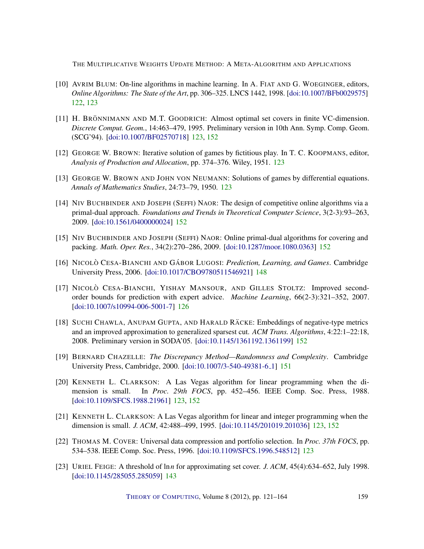- <span id="page-38-0"></span>[10] AVRIM BLUM: On-line algorithms in machine learning. In A. FIAT AND G. WOEGINGER, editors, *Online Algorithms: The State of the Art*, pp. 306–325. LNCS 1442, 1998. [\[doi:10.1007/BFb0029575\]](http://dx.doi.org/10.1007/BFb0029575) [122,](#page-1-0) [123](#page-2-0)
- <span id="page-38-5"></span>[11] H. BRÖNNIMANN AND M.T. GOODRICH: Almost optimal set covers in finite VC-dimension. *Discrete Comput. Geom.*, 14:463–479, 1995. Preliminary version in 10th Ann. Symp. Comp. Geom. (SCG'94). [\[doi:10.1007/BF02570718\]](http://dx.doi.org/10.1007/BF02570718) [123,](#page-2-0) [152](#page-31-0)
- <span id="page-38-2"></span>[12] GEORGE W. BROWN: Iterative solution of games by fictitious play. In T. C. KOOPMANS, editor, *Analysis of Production and Allocation*, pp. 374–376. Wiley, 1951. [123](#page-2-0)
- <span id="page-38-1"></span>[13] GEORGE W. BROWN AND JOHN VON NEUMANN: Solutions of games by differential equations. *Annals of Mathematics Studies*, 24:73–79, 1950. [123](#page-2-0)
- <span id="page-38-12"></span>[14] NIV BUCHBINDER AND JOSEPH (SEFFI) NAOR: The design of competitive online algorithms via a primal-dual approach. *Foundations and Trends in Theoretical Computer Science*, 3(2-3):93–263, 2009. [\[doi:10.1561/0400000024\]](http://dx.doi.org/10.1561/0400000024) [152](#page-31-0)
- <span id="page-38-13"></span>[15] NIV BUCHBINDER AND JOSEPH (SEFFI) NAOR: Online primal-dual algorithms for covering and packing. *Math. Oper. Res.*, 34(2):270–286, 2009. [\[doi:10.1287/moor.1080.0363\]](http://dx.doi.org/10.1287/moor.1080.0363) [152](#page-31-0)
- <span id="page-38-9"></span>[16] NICOLÒ CESA-BIANCHI AND GÁBOR LUGOSI: *Prediction, Learning, and Games*. Cambridge University Press, 2006. [\[doi:10.1017/CBO9780511546921\]](http://dx.doi.org/10.1017/CBO9780511546921) [148](#page-27-1)
- <span id="page-38-7"></span>[17] NICOLO` CESA-BIANCHI, YISHAY MANSOUR, AND GILLES STOLTZ: Improved secondorder bounds for prediction with expert advice. *Machine Learning*, 66(2-3):321–352, 2007. [\[doi:10.1007/s10994-006-5001-7\]](http://dx.doi.org/10.1007/s10994-006-5001-7) [126](#page-5-2)
- <span id="page-38-11"></span>[18] SUCHI CHAWLA, ANUPAM GUPTA, AND HARALD RÄCKE: Embeddings of negative-type metrics and an improved approximation to generalized sparsest cut. *ACM Trans. Algorithms*, 4:22:1–22:18, 2008. Preliminary version in SODA'05. [\[doi:10.1145/1361192.1361199\]](http://dx.doi.org/10.1145/1361192.1361199) [152](#page-31-0)
- <span id="page-38-10"></span>[19] BERNARD CHAZELLE: *The Discrepancy Method—Randomness and Complexity*. Cambridge University Press, Cambridge, 2000. [\[doi:10.1007/3-540-49381-6](http://dx.doi.org/10.1007/3-540-49381-6_1) 1] [151](#page-30-0)
- <span id="page-38-3"></span>[20] KENNETH L. CLARKSON: A Las Vegas algorithm for linear programming when the dimension is small. In *Proc. 29th FOCS*, pp. 452–456. IEEE Comp. Soc. Press, 1988. [\[doi:10.1109/SFCS.1988.21961\]](http://dx.doi.org/10.1109/SFCS.1988.21961) [123,](#page-2-0) [152](#page-31-0)
- <span id="page-38-4"></span>[21] KENNETH L. CLARKSON: A Las Vegas algorithm for linear and integer programming when the dimension is small. *J. ACM*, 42:488–499, 1995. [\[doi:10.1145/201019.201036\]](http://dx.doi.org/10.1145/201019.201036) [123,](#page-2-0) [152](#page-31-0)
- <span id="page-38-6"></span>[22] THOMAS M. COVER: Universal data compression and portfolio selection. In *Proc. 37th FOCS*, pp. 534–538. IEEE Comp. Soc. Press, 1996. [\[doi:10.1109/SFCS.1996.548512\]](http://dx.doi.org/10.1109/SFCS.1996.548512) [123](#page-2-0)
- <span id="page-38-8"></span>[23] URIEL FEIGE: A threshold of ln*n* for approximating set cover. *J. ACM*, 45(4):634–652, July 1998. [\[doi:10.1145/285055.285059\]](http://dx.doi.org/10.1145/285055.285059) [143](#page-22-0)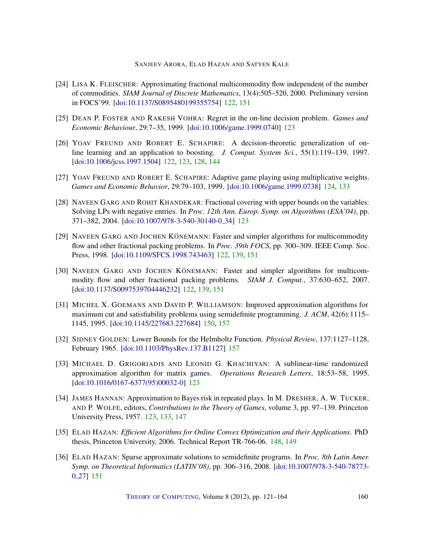- <span id="page-39-3"></span>[24] LISA K. FLEISCHER: Approximating fractional multicommodity flow independent of the number of commodities. *SIAM Journal of Discrete Mathematics*, 13(4):505–520, 2000. Preliminary version in FOCS'99. [\[doi:10.1137/S0895480199355754\]](http://dx.doi.org/10.1137/S0895480199355754) [122,](#page-1-0) [151](#page-30-0)
- <span id="page-39-5"></span>[25] DEAN P. FOSTER AND RAKESH VOHRA: Regret in the on-line decision problem. *Games and Economic Behaviour*, 29:7–35, 1999. [\[doi:10.1006/game.1999.0740\]](http://dx.doi.org/10.1006/game.1999.0740) [123](#page-2-0)
- <span id="page-39-0"></span>[26] YOAV FREUND AND ROBERT E. SCHAPIRE: A decision-theoretic generalization of online learning and an application to boosting. *J. Comput. System Sci.*, 55(1):119–139, 1997. [\[doi:10.1006/jcss.1997.1504\]](http://dx.doi.org/10.1006/jcss.1997.1504) [122,](#page-1-0) [123,](#page-2-0) [128,](#page-7-3) [144](#page-23-1)
- <span id="page-39-8"></span>[27] YOAV FREUND AND ROBERT E. SCHAPIRE: Adaptive game playing using multiplicative weights. *Games and Economic Behavior*, 29:79–103, 1999. [\[doi:10.1006/game.1999.0738\]](http://dx.doi.org/10.1006/game.1999.0738) [124,](#page-3-2) [133](#page-12-2)
- <span id="page-39-7"></span>[28] NAVEEN GARG AND ROHIT KHANDEKAR: Fractional covering with upper bounds on the variables: Solving LPs with negative entries. In *Proc. 12th Ann. Europ. Symp. on Algorithms (ESA'04)*, pp. 371–382, 2004. [\[doi:10.1007/978-3-540-30140-0](http://dx.doi.org/10.1007/978-3-540-30140-0_34) 34] [123](#page-2-0)
- <span id="page-39-1"></span>[29] NAVEEN GARG AND JOCHEN KÖNEMANN: Faster and simpler algorithms for multicommodity flow and other fractional packing problems. In *Proc. 39th FOCS*, pp. 300–309. IEEE Comp. Soc. Press, 1998. [\[doi:10.1109/SFCS.1998.743463\]](http://dx.doi.org/10.1109/SFCS.1998.743463) [122,](#page-1-0) [139,](#page-18-2) [151](#page-30-0)
- <span id="page-39-2"></span>[30] NAVEEN GARG AND JOCHEN KÖNEMANN: Faster and simpler algorithms for multicommodity flow and other fractional packing problems. *SIAM J. Comput.*, 37:630–652, 2007. [\[doi:10.1137/S0097539704446232\]](http://dx.doi.org/10.1137/S0097539704446232) [122,](#page-1-0) [139,](#page-18-2) [151](#page-30-0)
- <span id="page-39-10"></span>[31] MICHEL X. GOEMANS AND DAVID P. WILLIAMSON: Improved approximation algorithms for maximum cut and satisfiability problems using semidefinite programming. *J. ACM*, 42(6):1115– 1145, 1995. [\[doi:10.1145/227683.227684\]](http://dx.doi.org/10.1145/227683.227684) [150,](#page-29-0) [157](#page-36-1)
- <span id="page-39-12"></span>[32] SIDNEY GOLDEN: Lower Bounds for the Helmholtz Function. *Physical Review*, 137:1127–1128, February 1965. [\[doi:10.1103/PhysRev.137.B1127\]](http://dx.doi.org/10.1103/PhysRev.137.B1127) [157](#page-36-1)
- <span id="page-39-4"></span>[33] MICHAEL D. GRIGORIADIS AND LEONID G. KHACHIYAN: A sublinear-time randomized approximation algorithm for matrix games. *Operations Research Letters*, 18:53–58, 1995. [\[doi:10.1016/0167-6377\(95\)00032-0\]](http://dx.doi.org/10.1016/0167-6377(95)00032-0) [123](#page-2-0)
- <span id="page-39-6"></span>[34] JAMES HANNAN: Approximation to Bayes risk in repeated plays. In M. DRESHER, A. W. TUCKER, AND P. WOLFE, editors, *Contributions to the Theory of Games*, volume 3, pp. 97–139. Princeton University Press, 1957. [123,](#page-2-0) [133,](#page-12-2) [147](#page-26-1)
- <span id="page-39-9"></span>[35] ELAD HAZAN: *Efficient Algorithms for Online Convex Optimization and their Applications*. PhD thesis, Princeton University, 2006. Technical Report TR-766-06. [148,](#page-27-1) [149](#page-28-2)
- <span id="page-39-11"></span>[36] ELAD HAZAN: Sparse approximate solutions to semidefinite programs. In *Proc. 8th Latin Amer. Symp. on Theoretical Informatics (LATIN'08)*, pp. 306–316, 2008. [\[doi:10.1007/978-3-540-78773-](http://dx.doi.org/10.1007/978-3-540-78773-0_27) 0 [27\]](http://dx.doi.org/10.1007/978-3-540-78773-0_27) [151](#page-30-0)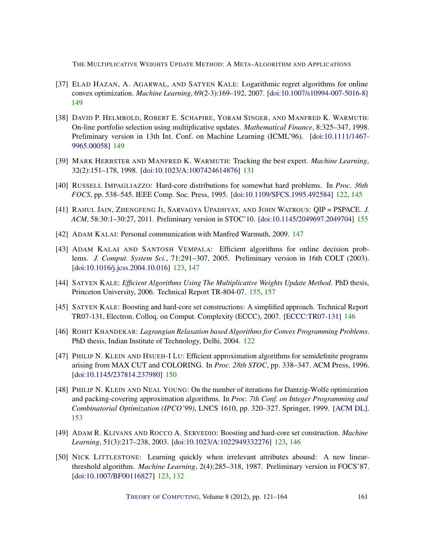- <span id="page-40-8"></span>[37] ELAD HAZAN, A. AGARWAL, AND SATYEN KALE: Logarithmic regret algorithms for online convex optimization. *Machine Learning*, 69(2-3):169–192, 2007. [\[doi:10.1007/s10994-007-5016-8\]](http://dx.doi.org/10.1007/s10994-007-5016-8) [149](#page-28-2)
- <span id="page-40-9"></span>[38] DAVID P. HELMBOLD, ROBERT E. SCHAPIRE, YORAM SINGER, AND MANFRED K. WARMUTH: On-line portfolio selection using multiplicative updates. *Mathematical Finance*, 8:325–347, 1998. Preliminary version in 13th Int. Conf. on Machine Learning (ICML'96). [\[doi:10.1111/1467-](http://dx.doi.org/10.1111/1467-9965.00058) [9965.00058\]](http://dx.doi.org/10.1111/1467-9965.00058) [149](#page-28-2)
- <span id="page-40-5"></span>[39] MARK HERBSTER AND MANFRED K. WARMUTH: Tracking the best expert. *Machine Learning*, 32(2):151–178, 1998. [\[doi:10.1023/A:1007424614876\]](http://dx.doi.org/10.1023/A:1007424614876) [131](#page-10-3)
- <span id="page-40-0"></span>[40] RUSSELL IMPAGLIAZZO: Hard-core distributions for somewhat hard problems. In *Proc. 36th FOCS*, pp. 538–545. IEEE Comp. Soc. Press, 1995. [\[doi:10.1109/SFCS.1995.492584\]](http://dx.doi.org/10.1109/SFCS.1995.492584) [122,](#page-1-0) [145](#page-24-1)
- <span id="page-40-12"></span>[41] RAHUL JAIN, ZHENGFENG JI, SARVAGYA UPADHYAY, AND JOHN WATROUS: QIP = PSPACE. *J. ACM*, 58:30:1–30:27, 2011. Preliminary version in STOC'10. [\[doi:10.1145/2049697.2049704\]](http://dx.doi.org/10.1145/2049697.2049704) [155](#page-34-1)
- <span id="page-40-7"></span>[42] ADAM KALAI: Personal communication with Manfred Warmuth, 2009. [147](#page-26-1)
- <span id="page-40-3"></span>[43] ADAM KALAI AND SANTOSH VEMPALA: Efficient algorithms for online decision problems. *J. Comput. System Sci.*, 71:291–307, 2005. Preliminary version in 16th COLT (2003). [\[doi:10.1016/j.jcss.2004.10.016\]](http://dx.doi.org/10.1016/j.jcss.2004.10.016) [123,](#page-2-0) [147](#page-26-1)
- <span id="page-40-13"></span>[44] SATYEN KALE: *Efficient Algorithms Using The Multiplicative Weights Update Method*. PhD thesis, Princeton University, 2006. Technical Report TR-804-07. [155,](#page-34-1) [157](#page-36-1)
- <span id="page-40-6"></span>[45] SATYEN KALE: Boosting and hard-core set constructions: A simplified approach. Technical Report TR07-131, Electron. Colloq. on Comput. Complexity (ECCC), 2007. [\[ECCC:TR07-131\]](http://www.eccc.uni-trier.de/eccc-reports/2007/TR07-131) [146](#page-25-0)
- <span id="page-40-1"></span>[46] ROHIT KHANDEKAR: *Lagrangian Relaxation based Algorithms for Convex Programming Problems*. PhD thesis, Indian Institute of Technology, Delhi, 2004. [122](#page-1-0)
- <span id="page-40-10"></span>[47] PHILIP N. KLEIN AND HSUEH-I LU: Efficient approximation algorithms for semidefinite programs arising from MAX CUT and COLORING. In *Proc. 28th STOC*, pp. 338–347. ACM Press, 1996. [\[doi:10.1145/237814.237980\]](http://dx.doi.org/10.1145/237814.237980) [150](#page-29-0)
- <span id="page-40-11"></span>[48] PHILIP N. KLEIN AND NEAL YOUNG: On the number of iterations for Dantzig-Wolfe optimization and packing-covering approximation algorithms. In *Proc. 7th Conf. on Integer Programming and Combinatorial Optimization (IPCO'99)*, LNCS 1610, pp. 320–327. Springer, 1999. [\[ACM DL\].](http://dl.acm.org/citation.cfm?id=645589.659777) [153](#page-32-2)
- <span id="page-40-4"></span>[49] ADAM R. KLIVANS AND ROCCO A. SERVEDIO: Boosting and hard-core set construction. *Machine Learning*, 51(3):217–238, 2003. [\[doi:10.1023/A:1022949332276\]](http://dx.doi.org/10.1023/A:1022949332276) [123,](#page-2-0) [146](#page-25-0)
- <span id="page-40-2"></span>[50] NICK LITTLESTONE: Learning quickly when irrelevant attributes abound: A new linearthreshold algorithm. *Machine Learning*, 2(4):285–318, 1987. Preliminary version in FOCS'87. [\[doi:10.1007/BF00116827\]](http://dx.doi.org/10.1007/BF00116827) [123,](#page-2-0) [132](#page-11-3)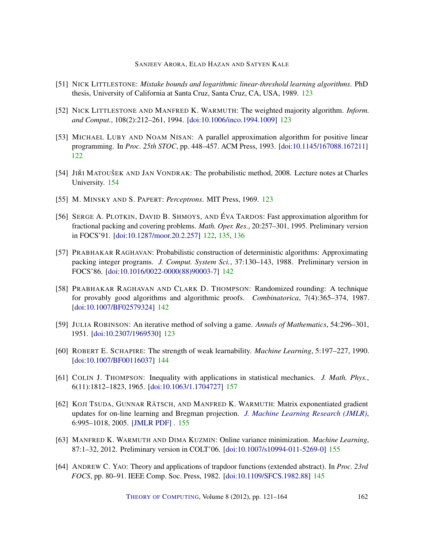- <span id="page-41-3"></span>[51] NICK LITTLESTONE: *Mistake bounds and logarithmic linear-threshold learning algorithms*. PhD thesis, University of California at Santa Cruz, Santa Cruz, CA, USA, 1989. [123](#page-2-0)
- <span id="page-41-5"></span>[52] NICK LITTLESTONE AND MANFRED K. WARMUTH: The weighted majority algorithm. *Inform. and Comput.*, 108(2):212–261, 1994. [\[doi:10.1006/inco.1994.1009\]](http://dx.doi.org/10.1006/inco.1994.1009) [123](#page-2-0)
- <span id="page-41-1"></span>[53] MICHAEL LUBY AND NOAM NISAN: A parallel approximation algorithm for positive linear programming. In *Proc. 25th STOC*, pp. 448–457. ACM Press, 1993. [\[doi:10.1145/167088.167211\]](http://dx.doi.org/10.1145/167088.167211) [122](#page-1-0)
- <span id="page-41-10"></span>[54] JIŘI MATOUŠEK AND JAN VONDRAK: The probabilistic method, 2008. Lecture notes at Charles University. [154](#page-33-2)
- <span id="page-41-4"></span>[55] M. MINSKY AND S. PAPERT: *Perceptrons*. MIT Press, 1969. [123](#page-2-0)
- <span id="page-41-0"></span>[56] SERGE A. PLOTKIN, DAVID B. SHMOYS, AND ÉVA TARDOS: Fast approximation algorithm for fractional packing and covering problems. *Math. Oper. Res.*, 20:257–301, 1995. Preliminary version in FOCS'91. [\[doi:10.1287/moor.20.2.257\]](http://dx.doi.org/10.1287/moor.20.2.257) [122,](#page-1-0) [135,](#page-14-3) [136](#page-15-1)
- <span id="page-41-7"></span>[57] PRABHAKAR RAGHAVAN: Probabilistic construction of deterministic algorithms: Approximating packing integer programs. *J. Comput. System Sci.*, 37:130–143, 1988. Preliminary version in FOCS'86. [\[doi:10.1016/0022-0000\(88\)90003-7\]](http://dx.doi.org/10.1016/0022-0000(88)90003-7) [142](#page-21-2)
- <span id="page-41-6"></span>[58] PRABHAKAR RAGHAVAN AND CLARK D. THOMPSON: Randomized rounding: A technique for provably good algorithms and algorithmic proofs. *Combinatorica*, 7(4):365–374, 1987. [\[doi:10.1007/BF02579324\]](http://dx.doi.org/10.1007/BF02579324) [142](#page-21-2)
- <span id="page-41-2"></span>[59] JULIA ROBINSON: An iterative method of solving a game. *Annals of Mathematics*, 54:296–301, 1951. [\[doi:10.2307/1969530\]](http://dx.doi.org/10.2307/1969530) [123](#page-2-0)
- <span id="page-41-8"></span>[60] ROBERT E. SCHAPIRE: The strength of weak learnability. *Machine Learning*, 5:197–227, 1990. [\[doi:10.1007/BF00116037\]](http://dx.doi.org/10.1007/BF00116037) [144](#page-23-1)
- <span id="page-41-13"></span>[61] COLIN J. THOMPSON: Inequality with applications in statistical mechanics. *J. Math. Phys.*, 6(11):1812–1823, 1965. [\[doi:10.1063/1.1704727\]](http://dx.doi.org/10.1063/1.1704727) [157](#page-36-1)
- <span id="page-41-12"></span>[62] KOJI TSUDA, GUNNAR RÄTSCH, AND MANFRED K. WARMUTH: Matrix exponentiated gradient updates for on-line learning and Bregman projection. *[J. Machine Learning Research \(JMLR\)](http://jmlr.csail.mit.edu/)*, 6:995–1018, 2005. [\[JMLR PDF\]](http://jmlr.csail.mit.edu/papers/volume6/tsuda05a/tsuda05a.pdf) . [155](#page-34-1)
- <span id="page-41-11"></span>[63] MANFRED K. WARMUTH AND DIMA KUZMIN: Online variance minimization. *Machine Learning*, 87:1–32, 2012. Preliminary version in COLT'06. [\[doi:10.1007/s10994-011-5269-0\]](http://dx.doi.org/10.1007/s10994-011-5269-0) [155](#page-34-1)
- <span id="page-41-9"></span>[64] ANDREW C. YAO: Theory and applications of trapdoor functions (extended abstract). In *Proc. 23rd FOCS*, pp. 80–91. IEEE Comp. Soc. Press, 1982. [\[doi:10.1109/SFCS.1982.88\]](http://dx.doi.org/10.1109/SFCS.1982.88) [145](#page-24-1)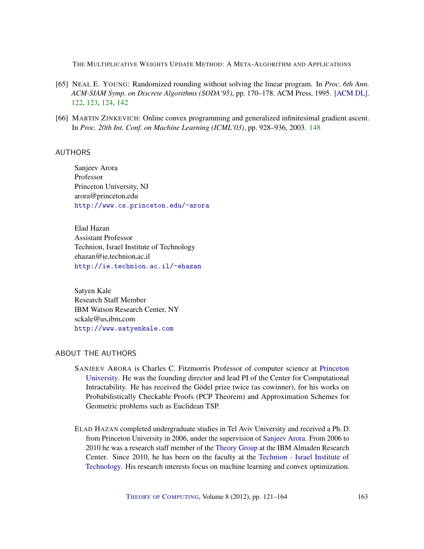- <span id="page-42-3"></span>[65] NEAL E. YOUNG: Randomized rounding without solving the linear program. In *Proc. 6th Ann. ACM-SIAM Symp. on Discrete Algorithms (SODA'95)*, pp. 170–178. ACM Press, 1995. [\[ACM DL\].](http://dl.acm.org/citation.cfm?id=313689) [122,](#page-1-0) [123,](#page-2-0) [124,](#page-3-2) [142](#page-21-2)
- <span id="page-42-4"></span>[66] MARTIN ZINKEVICH: Online convex programming and generalized infinitesimal gradient ascent. In *Proc. 20th Int. Conf. on Machine Learning (ICML'03)*, pp. 928–936, 2003. [148](#page-27-1)

#### <span id="page-42-0"></span>AUTHORS

Sanjeev Arora Professor Princeton University, NJ arora@princeton.edu <http://www.cs.princeton.edu/~arora>

<span id="page-42-1"></span>Elad Hazan Assistant Professor Technion, Israel Institute of Technology ehazan@ie.technion.ac.il <http://ie.technion.ac.il/~ehazan>

<span id="page-42-2"></span>Satyen Kale Research Staff Member IBM Watson Research Center, NY sckale@us.ibm.com <http://www.satyenkale.com>

#### ABOUT THE AUTHORS

- SANJEEV ARORA is Charles C. Fitzmorris Professor of computer science at [Princeton](http://www.princeton.edu) [University.](http://www.princeton.edu) He was the founding director and lead PI of the Center for Computational Intractability. He has received the Godel prize twice (as cowinner), for his works on Probabilistically Checkable Proofs (PCP Theorem) and Approximation Schemes for Geometric problems such as Euclidean TSP.
- ELAD HAZAN completed undergraduate studies in Tel Aviv University and received a Ph. D. from Princeton University in 2006, under the supervision of [Sanjeev Arora.](http://www.cs.princeton.edu/~arora/) From 2006 to 2010 he was a research staff member of the [Theory Group](http://www.almaden.ibm.com/cs/disciplines/pm/) at the IBM Almaden Research Center. Since 2010, he has been on the faculty at the [Technion - Israel Institute of](http://www1.technion.ac.il/) [Technology.](http://www1.technion.ac.il/) His research interests focus on machine learning and convex optimization.